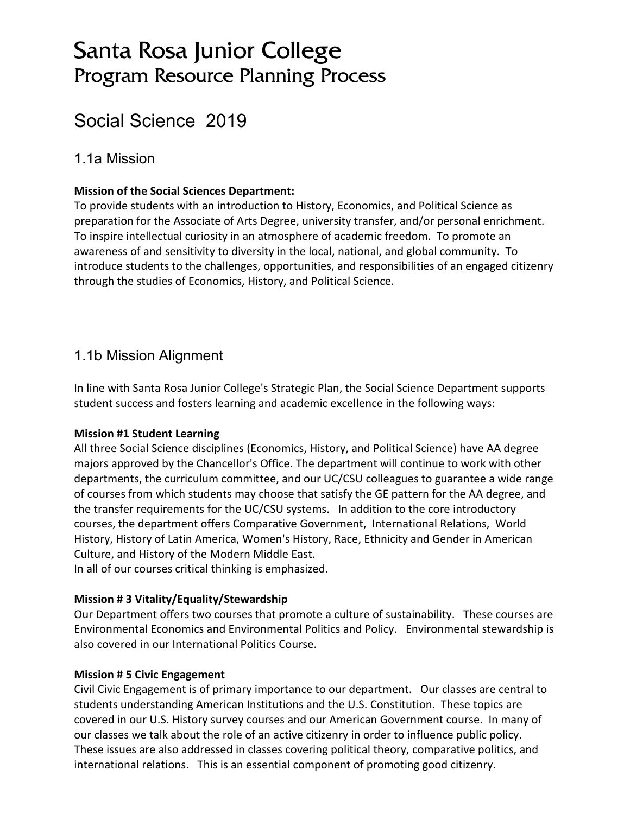# Santa Rosa Junior College Program Resource Planning Process

# Social Science 2019

### 1.1a Mission

### **Mission of the Social Sciences Department:**

To provide students with an introduction to History, Economics, and Political Science as preparation for the Associate of Arts Degree, university transfer, and/or personal enrichment. To inspire intellectual curiosity in an atmosphere of academic freedom. To promote an awareness of and sensitivity to diversity in the local, national, and global community. To introduce students to the challenges, opportunities, and responsibilities of an engaged citizenry through the studies of Economics, History, and Political Science.

### 1.1b Mission Alignment

In line with Santa Rosa Junior College's Strategic Plan, the Social Science Department supports student success and fosters learning and academic excellence in the following ways:

### **Mission #1 Student Learning**

All three Social Science disciplines (Economics, History, and Political Science) have AA degree majors approved by the Chancellor's Office. The department will continue to work with other departments, the curriculum committee, and our UC/CSU colleagues to guarantee a wide range of courses from which students may choose that satisfy the GE pattern for the AA degree, and the transfer requirements for the UC/CSU systems. In addition to the core introductory courses, the department offers Comparative Government, International Relations, World History, History of Latin America, Women's History, Race, Ethnicity and Gender in American Culture, and History of the Modern Middle East.

In all of our courses critical thinking is emphasized.

### **Mission # 3 Vitality/Equality/Stewardship**

Our Department offers two courses that promote a culture of sustainability. These courses are Environmental Economics and Environmental Politics and Policy. Environmental stewardship is also covered in our International Politics Course.

### **Mission # 5 Civic Engagement**

Civil Civic Engagement is of primary importance to our department. Our classes are central to students understanding American Institutions and the U.S. Constitution. These topics are covered in our U.S. History survey courses and our American Government course. In many of our classes we talk about the role of an active citizenry in order to influence public policy. These issues are also addressed in classes covering political theory, comparative politics, and international relations. This is an essential component of promoting good citizenry.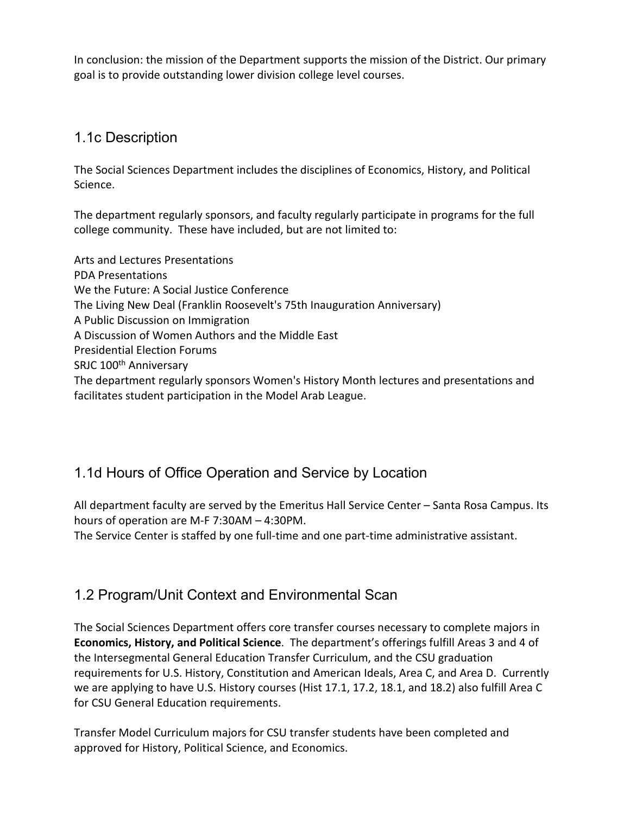In conclusion: the mission of the Department supports the mission of the District. Our primary goal is to provide outstanding lower division college level courses.

### 1.1c Description

The Social Sciences Department includes the disciplines of Economics, History, and Political Science.

The department regularly sponsors, and faculty regularly participate in programs for the full college community. These have included, but are not limited to:

Arts and Lectures Presentations PDA Presentations We the Future: A Social Justice Conference The Living New Deal (Franklin Roosevelt's 75th Inauguration Anniversary) A Public Discussion on Immigration A Discussion of Women Authors and the Middle East Presidential Election Forums SRJC 100<sup>th</sup> Anniversary The department regularly sponsors Women's History Month lectures and presentations and facilitates student participation in the Model Arab League.

## 1.1d Hours of Office Operation and Service by Location

All department faculty are served by the Emeritus Hall Service Center – Santa Rosa Campus. Its hours of operation are M-F 7:30AM – 4:30PM.

The Service Center is staffed by one full-time and one part-time administrative assistant.

## 1.2 Program/Unit Context and Environmental Scan

The Social Sciences Department offers core transfer courses necessary to complete majors in **Economics, History, and Political Science**. The department's offerings fulfill Areas 3 and 4 of the Intersegmental General Education Transfer Curriculum, and the CSU graduation requirements for U.S. History, Constitution and American Ideals, Area C, and Area D. Currently we are applying to have U.S. History courses (Hist 17.1, 17.2, 18.1, and 18.2) also fulfill Area C for CSU General Education requirements.

Transfer Model Curriculum majors for CSU transfer students have been completed and approved for History, Political Science, and Economics.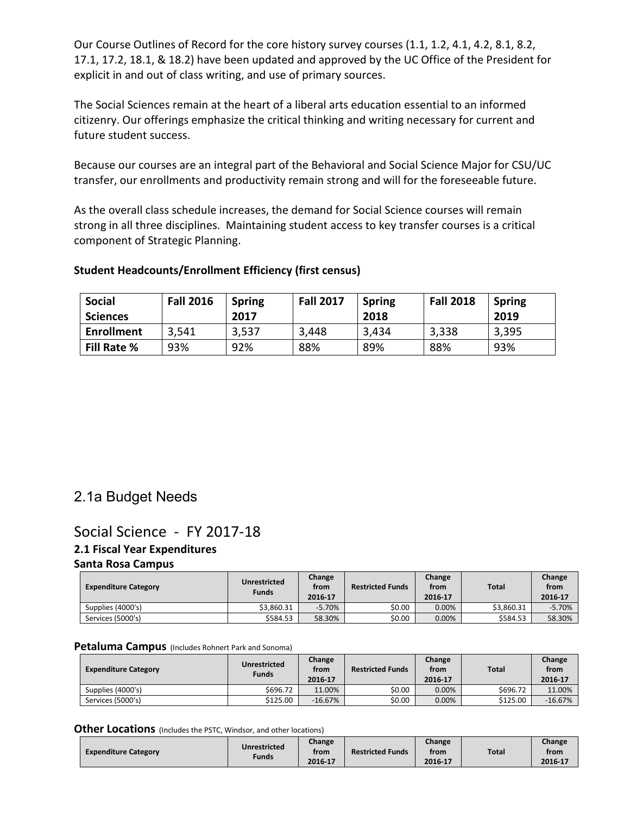Our Course Outlines of Record for the core history survey courses (1.1, 1.2, 4.1, 4.2, 8.1, 8.2, 17.1, 17.2, 18.1, & 18.2) have been updated and approved by the UC Office of the President for explicit in and out of class writing, and use of primary sources.

The Social Sciences remain at the heart of a liberal arts education essential to an informed citizenry. Our offerings emphasize the critical thinking and writing necessary for current and future student success.

Because our courses are an integral part of the Behavioral and Social Science Major for CSU/UC transfer, our enrollments and productivity remain strong and will for the foreseeable future.

As the overall class schedule increases, the demand for Social Science courses will remain strong in all three disciplines. Maintaining student access to key transfer courses is a critical component of Strategic Planning.

### **Student Headcounts/Enrollment Efficiency (first census)**

| <b>Social</b><br><b>Sciences</b> | <b>Fall 2016</b> | <b>Spring</b><br>2017 | <b>Fall 2017</b> | <b>Spring</b><br>2018 | <b>Fall 2018</b> | <b>Spring</b><br>2019 |
|----------------------------------|------------------|-----------------------|------------------|-----------------------|------------------|-----------------------|
| <b>Enrollment</b>                | 3,541            | 3,537                 | 3,448            | 3,434                 | 3,338            | 3,395                 |
| <b>Fill Rate %</b>               | 93%              | 92%                   | 88%              | 89%                   | 88%              | 93%                   |

### 2.1a Budget Needs

### Social Science - FY 2017-18 **2.1 Fiscal Year Expenditures Santa Rosa Campus**

| <b>Expenditure Category</b> | <b>Unrestricted</b><br><b>Funds</b> | Change<br>from<br>2016-17 | <b>Restricted Funds</b> | Change<br>from<br>2016-17 | <b>Total</b> | Change<br>from<br>2016-17 |
|-----------------------------|-------------------------------------|---------------------------|-------------------------|---------------------------|--------------|---------------------------|
| Supplies (4000's)           | \$3.860.31                          | $-5.70%$                  | \$0.00                  | $0.00\%$                  | \$3.860.31   | $-5.70%$                  |
| Services (5000's)           | \$584.53                            | 58.30%                    | \$0.00                  | $0.00\%$                  | \$584.53     | 58.30%                    |

#### **Petaluma Campus** (Includes Rohnert Park and Sonoma)

| <b>Expenditure Category</b> | Unrestricted<br><b>Funds</b> | Change<br>from<br>2016-17 | <b>Restricted Funds</b> | Change<br>from<br>2016-17 | <b>Total</b> | Change<br>from<br>2016-17 |
|-----------------------------|------------------------------|---------------------------|-------------------------|---------------------------|--------------|---------------------------|
| Supplies (4000's)           | \$696.72                     | 11.00%                    | \$0.00                  | 0.00%                     | \$696.72     | 11.00%                    |
| Services (5000's)           | \$125.00                     | $-16.67%$                 | \$0.00                  | 0.00%                     | \$125.00     | $-16.67%$                 |

#### **Other Locations** (Includes the PSTC, Windsor, and other locations)

| <b>Expenditure Category</b> | Unrestricted | Change<br>from | <b>Restricted Funds</b> | Change<br>from | <b>Total</b> | Change<br>from |
|-----------------------------|--------------|----------------|-------------------------|----------------|--------------|----------------|
|                             | Funds        | 2016 17        |                         | 2016-17        |              | 2016-17        |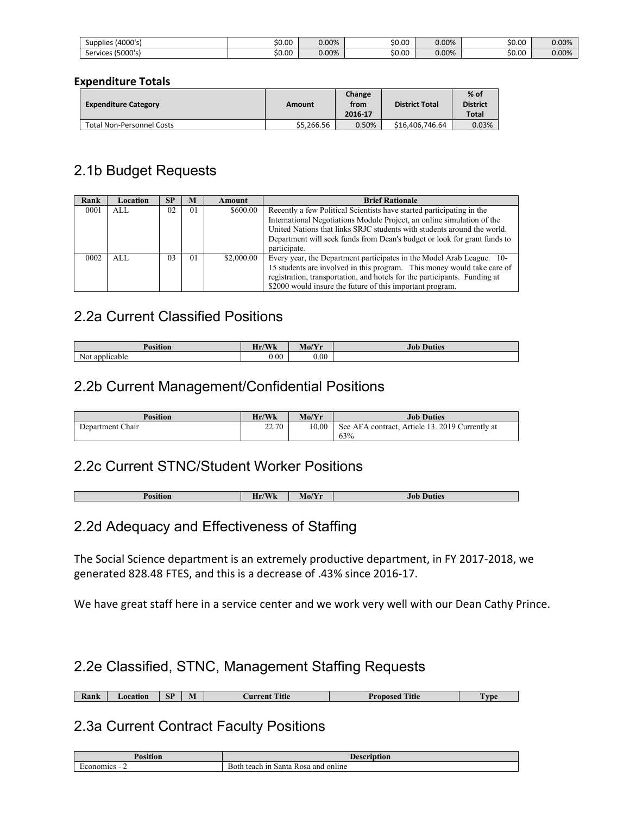| (4000's)<br>Supplies | \$0.00 | 0.00% | \$0.00 | 0.00% | \$0.00 | $0.00\%$ |
|----------------------|--------|-------|--------|-------|--------|----------|
| (5000's)<br>Services | \$0.00 | 0.00% | \$0.00 | 0.00% | \$0.00 | 0.00%    |

#### **Expenditure Totals**

| <b>Expenditure Category</b>      | Amount     | Change<br>from<br>2016-17 | <b>District Total</b> | $%$ of<br><b>District</b><br>Total |
|----------------------------------|------------|---------------------------|-----------------------|------------------------------------|
| <b>Total Non-Personnel Costs</b> | \$5,266.56 | 0.50%                     | \$16,406,746.64       | 0.03%                              |

### 2.1b Budget Requests

| Rank | Location | <b>SP</b>      | M  | Amount     | <b>Brief Rationale</b>                                                    |
|------|----------|----------------|----|------------|---------------------------------------------------------------------------|
| 0001 | AI.      | 02             | 01 | \$600.00   | Recently a few Political Scientists have started participating in the     |
|      |          |                |    |            | International Negotiations Module Project, an online simulation of the    |
|      |          |                |    |            | United Nations that links SRJC students with students around the world.   |
|      |          |                |    |            | Department will seek funds from Dean's budget or look for grant funds to  |
|      |          |                |    |            | participate.                                                              |
| 0002 | AI.      | 0 <sup>3</sup> | 01 | \$2,000.00 | Every year, the Department participates in the Model Arab League. 10-     |
|      |          |                |    |            | 15 students are involved in this program. This money would take care of   |
|      |          |                |    |            | registration, transportation, and hotels for the participants. Funding at |
|      |          |                |    |            | \$2000 would insure the future of this important program.                 |

### 2.2a Current Classified Positions

| $\mathbf{r}$<br>чов            | $\sqrt{\mathbf{X}}$<br>$\mathbf{v}$<br><b>TY 17</b><br>. | $M_0/V_{\rm H}$<br>$\mathbf{M}$ $\mathbf{U}$ $\mathbf{I}$ | Job<br>Juties |
|--------------------------------|----------------------------------------------------------|-----------------------------------------------------------|---------------|
| Not<br>. apr<br><b>Micable</b> | $_{0.00}$                                                | 0.00                                                      |               |

### 2.2b Current Management/Confidential Positions

| <b>Position</b>  | Hr/Wk | Mo/Yr | <b>Job Duties</b>                               |
|------------------|-------|-------|-------------------------------------------------|
| Department Chair | 22.70 | 10.00 | See AFA contract, Article 13, 2019 Currently at |
|                  |       |       | 63%                                             |

### 2.2c Current STNC/Student Worker Positions

| $\sqrt{2}$<br>$T$ $T$ $T$ $T$<br>-<br>n<br>$M_{0/1}$<br>Jufies<br>.<br><b>VY 23.</b><br><br>---- |  |  |
|--------------------------------------------------------------------------------------------------|--|--|
|                                                                                                  |  |  |

### 2.2d Adequacy and Effectiveness of Staffing

The Social Science department is an extremely productive department, in FY 2017-2018, we generated 828.48 FTES, and this is a decrease of .43% since 2016-17.

We have great staff here in a service center and we work very well with our Dean Cathy Prince.

### 2.2e Classified, STNC, Management Staffing Requests

**Rank Current Title Proposed Title Proposed Title Proposed Title** 

### 2.3a Current Contract Faculty Positions

| <b>Position</b> | Doceri<br>ntion                                              |
|-----------------|--------------------------------------------------------------|
| onomics -<br>-  | -<br>online<br>and<br>∙ ın<br>Santa<br>teach<br>Both<br>Rosa |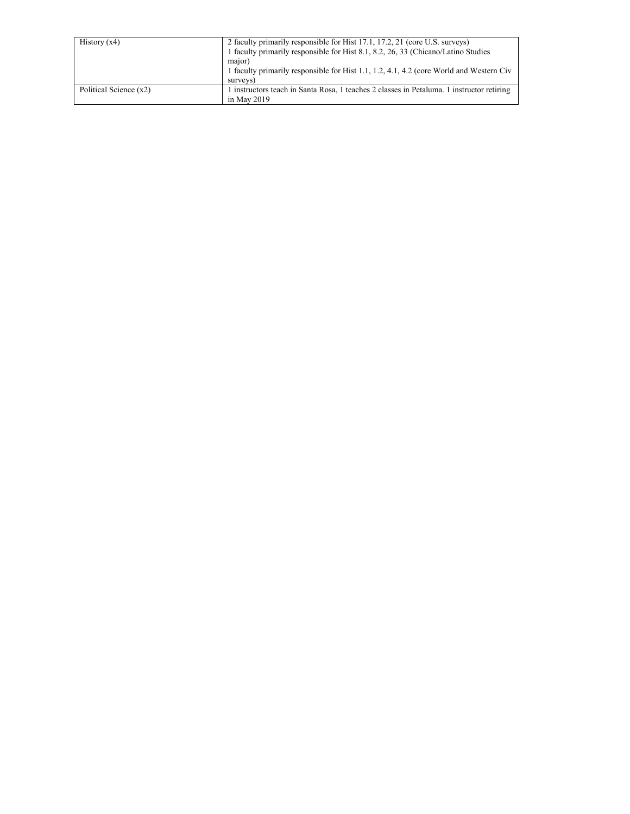| History $(x4)$         | 2 faculty primarily responsible for Hist 17.1, 17.2, 21 (core U.S. surveys)<br>1 faculty primarily responsible for Hist 8.1, 8.2, 26, 33 (Chicano/Latino Studies |
|------------------------|------------------------------------------------------------------------------------------------------------------------------------------------------------------|
|                        | major)<br>1 faculty primarily responsible for Hist 1.1, 1.2, 4.1, 4.2 (core World and Western Civ<br>surveys)                                                    |
| Political Science (x2) | 1 instructors teach in Santa Rosa, 1 teaches 2 classes in Petaluma. 1 instructor retiring<br>in May $2019$                                                       |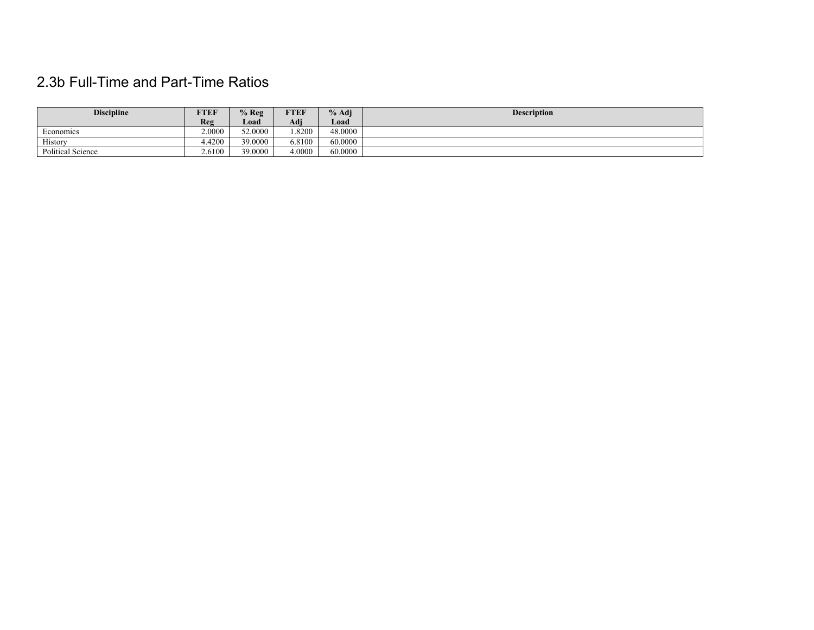## 2.3b Full-Time and Part-Time Ratios

| <b>Discipline</b> | FTEF   | $%$ Reg | <b>FTEF</b> | $%$ Adj | <b>Description</b> |
|-------------------|--------|---------|-------------|---------|--------------------|
|                   | Reg    | Load    | Adj         | Load    |                    |
| Economics         | 2.0000 | 52.0000 | .8200       | 48.0000 |                    |
| History           | 4.4200 | 39.0000 | 6.8100      | 60.0000 |                    |
| Political Science | 2.6100 | 39.0000 | 4.0000      | 60.0000 |                    |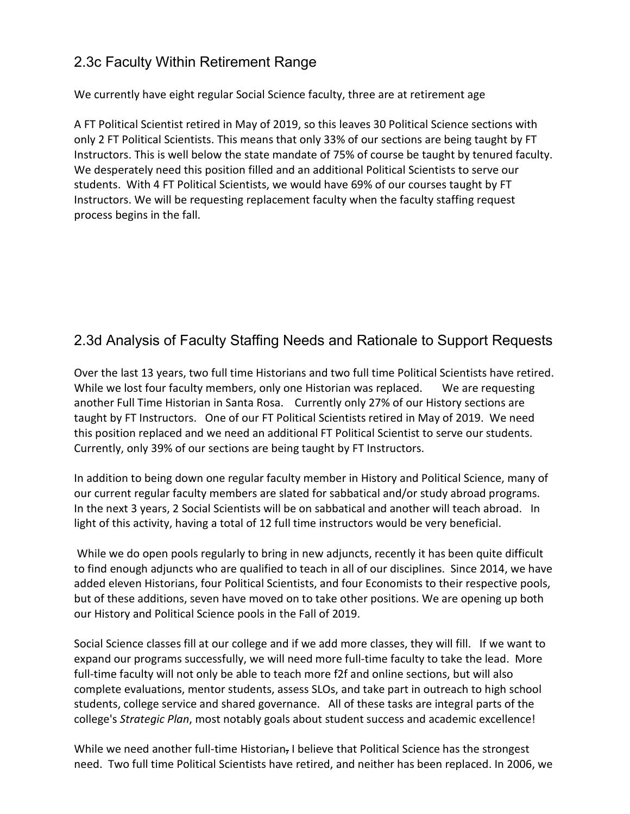### 2.3c Faculty Within Retirement Range

We currently have eight regular Social Science faculty, three are at retirement age

A FT Political Scientist retired in May of 2019, so this leaves 30 Political Science sections with only 2 FT Political Scientists. This means that only 33% of our sections are being taught by FT Instructors. This is well below the state mandate of 75% of course be taught by tenured faculty. We desperately need this position filled and an additional Political Scientists to serve our students. With 4 FT Political Scientists, we would have 69% of our courses taught by FT Instructors. We will be requesting replacement faculty when the faculty staffing request process begins in the fall.

## 2.3d Analysis of Faculty Staffing Needs and Rationale to Support Requests

Over the last 13 years, two full time Historians and two full time Political Scientists have retired. While we lost four faculty members, only one Historian was replaced. We are requesting another Full Time Historian in Santa Rosa. Currently only 27% of our History sections are taught by FT Instructors. One of our FT Political Scientists retired in May of 2019. We need this position replaced and we need an additional FT Political Scientist to serve our students. Currently, only 39% of our sections are being taught by FT Instructors.

In addition to being down one regular faculty member in History and Political Science, many of our current regular faculty members are slated for sabbatical and/or study abroad programs. In the next 3 years, 2 Social Scientists will be on sabbatical and another will teach abroad. In light of this activity, having a total of 12 full time instructors would be very beneficial.

While we do open pools regularly to bring in new adjuncts, recently it has been quite difficult to find enough adjuncts who are qualified to teach in all of our disciplines. Since 2014, we have added eleven Historians, four Political Scientists, and four Economists to their respective pools, but of these additions, seven have moved on to take other positions. We are opening up both our History and Political Science pools in the Fall of 2019.

Social Science classes fill at our college and if we add more classes, they will fill. If we want to expand our programs successfully, we will need more full-time faculty to take the lead. More full-time faculty will not only be able to teach more f2f and online sections, but will also complete evaluations, mentor students, assess SLOs, and take part in outreach to high school students, college service and shared governance. All of these tasks are integral parts of the college's *Strategic Plan*, most notably goals about student success and academic excellence!

While we need another full-time Historian, I believe that Political Science has the strongest need. Two full time Political Scientists have retired, and neither has been replaced. In 2006, we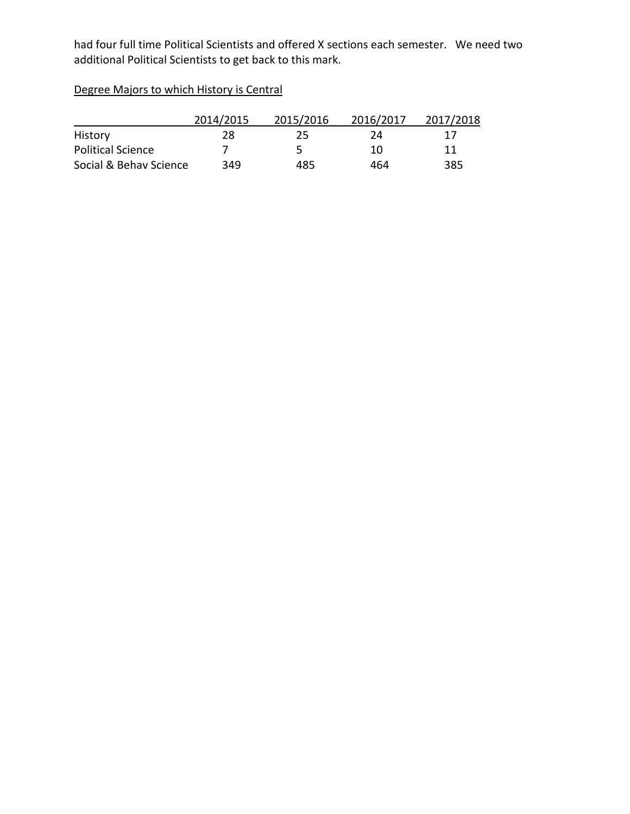had four full time Political Scientists and offered X sections each semester. We need two additional Political Scientists to get back to this mark.

Degree Majors to which History is Central

|                          | 2014/2015 | 2015/2016 | 2016/2017 | 2017/2018 |
|--------------------------|-----------|-----------|-----------|-----------|
| History                  | 28        | 25        | 24        | 1/        |
| <b>Political Science</b> |           | ∽         | 10        | 11        |
| Social & Behav Science   | 349       | 485       | 464       | 385       |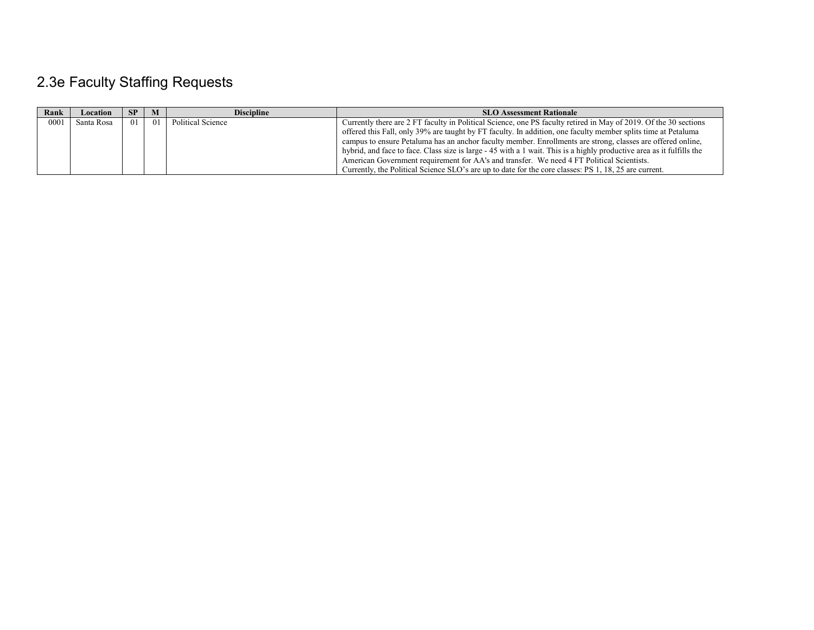# 2.3e Faculty Staffing Requests

| Rank | Location   | -SP | M    | <b>Discipline</b> | <b>SLO Assessment Rationale</b>                                                                                       |
|------|------------|-----|------|-------------------|-----------------------------------------------------------------------------------------------------------------------|
| 0001 | Santa Rosa | 01  | - 01 | Political Science | Currently there are 2 FT faculty in Political Science, one PS faculty retired in May of 2019. Of the 30 sections      |
|      |            |     |      |                   | offered this Fall, only 39% are taught by FT faculty. In addition, one faculty member splits time at Petaluma         |
|      |            |     |      |                   | campus to ensure Petaluma has an anchor faculty member. Enrollments are strong, classes are offered online,           |
|      |            |     |      |                   | hybrid, and face to face. Class size is large - 45 with a 1 wait. This is a highly productive area as it fulfills the |
|      |            |     |      |                   | American Government requirement for AA's and transfer. We need 4 FT Political Scientists.                             |
|      |            |     |      |                   | Currently, the Political Science SLO's are up to date for the core classes: PS 1, 18, 25 are current.                 |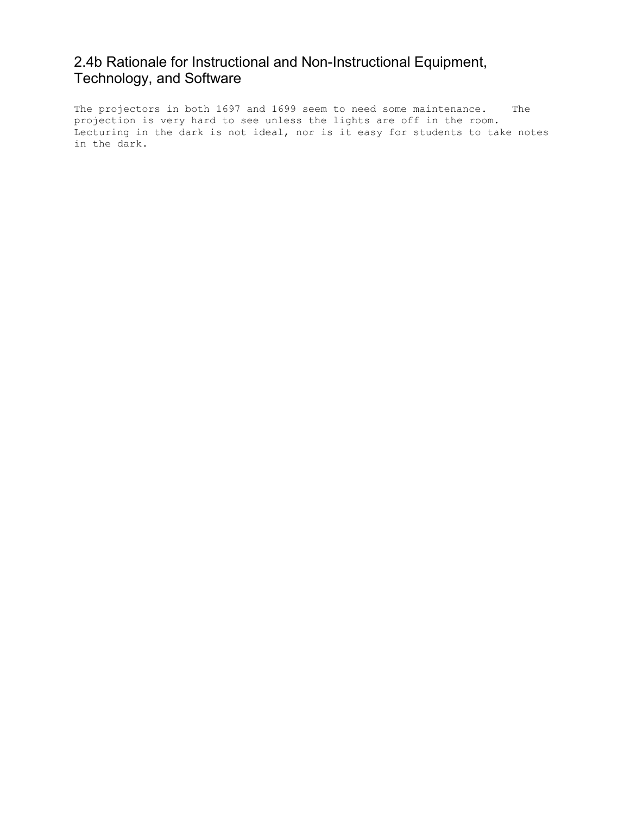### 2.4b Rationale for Instructional and Non-Instructional Equipment, Technology, and Software

The projectors in both 1697 and 1699 seem to need some maintenance. The projection is very hard to see unless the lights are off in the room. Lecturing in the dark is not ideal, nor is it easy for students to take notes in the dark.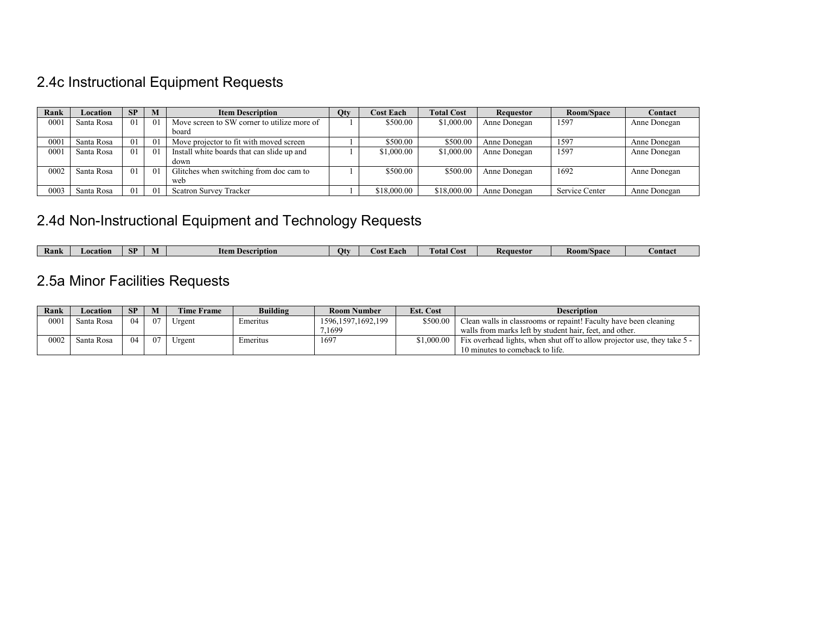# 2.4c Instructional Equipment Requests

| Rank | Location   | SP | M              | <b>Item Description</b>                     | Qty | <b>Cost Each</b> | <b>Total Cost</b> | Requestor    | Room/Space     | Contact      |
|------|------------|----|----------------|---------------------------------------------|-----|------------------|-------------------|--------------|----------------|--------------|
| 0001 | Santa Rosa | 01 | - 01           | Move screen to SW corner to utilize more of |     | \$500.00         | \$1,000.00        | Anne Donegan | 1597           | Anne Donegan |
|      |            |    |                | board                                       |     |                  |                   |              |                |              |
| 0001 | Santa Rosa | 01 | 01             | Move projector to fit with moved screen     |     | \$500.00         | \$500.00          | Anne Donegan | 1597           | Anne Donegan |
| 0001 | Santa Rosa | 01 | - 01           | Install white boards that can slide up and  |     | \$1,000.00       | \$1,000.00        | Anne Donegan | 1597           | Anne Donegan |
|      |            |    |                | down                                        |     |                  |                   |              |                |              |
| 0002 | Santa Rosa | 01 | $\overline{0}$ | Glitches when switching from doc cam to     |     | \$500.00         | \$500.00          | Anne Donegan | 1692           | Anne Donegan |
|      |            |    |                | web                                         |     |                  |                   |              |                |              |
| 0003 | Santa Rosa | 01 | -01            | <b>Scatron Survey Tracker</b>               |     | \$18,000.00      | \$18,000.00       | Anne Donegan | Service Center | Anne Donegan |

## 2.4d Non-Instructional Equipment and Technology Requests

| Rank | Location | CD<br>ы | <b>Item Description</b> | Otv | Each<br>.ost | Total<br>Cost | nuestor<br>Keat | <b>Room/Space</b> | <b>Contact</b> |
|------|----------|---------|-------------------------|-----|--------------|---------------|-----------------|-------------------|----------------|

# 2.5a Minor Facilities Requests

| Rank | Location   | <b>SP</b> | M  | <b>Time Frame</b> | <b>Building</b> | <b>Room Number</b>                | <b>Est. Cost</b> | <b>Description</b>                                                       |
|------|------------|-----------|----|-------------------|-----------------|-----------------------------------|------------------|--------------------------------------------------------------------------|
| 0001 | Santa Rosa | 04        | 07 | Urgent            | Emeritus        | \$500.00<br>1596, 1597, 1692, 199 |                  | Clean walls in classrooms or repaint! Faculty have been cleaning         |
|      |            |           |    |                   |                 | .1699                             |                  | walls from marks left by student hair, feet, and other.                  |
| 0002 | Santa Rosa | 04        | 07 | Urgent            | Emeritus        | $169^{\circ}$                     | \$1.000.00       | Fix overhead lights, when shut off to allow projector use, they take 5 - |
|      |            |           |    |                   |                 |                                   |                  | 10 minutes to comeback to life.                                          |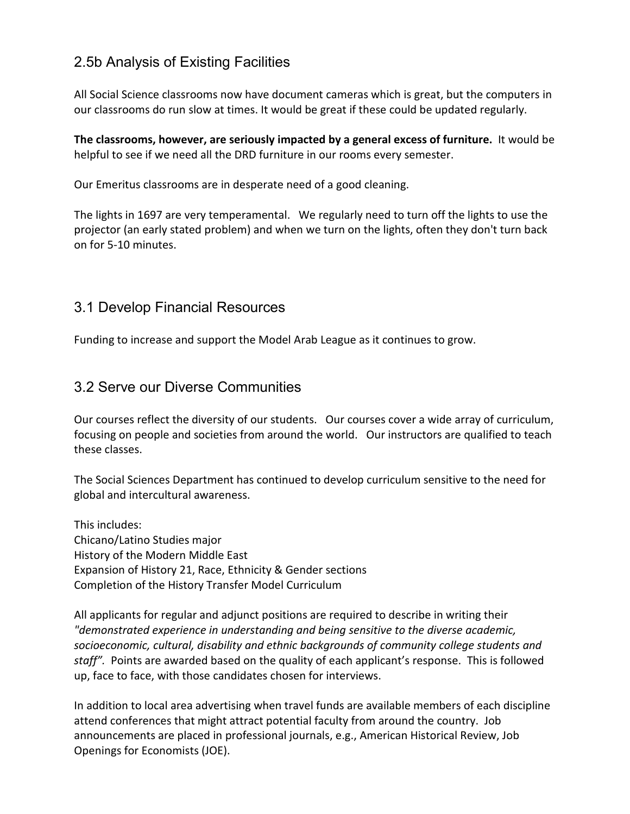### 2.5b Analysis of Existing Facilities

All Social Science classrooms now have document cameras which is great, but the computers in our classrooms do run slow at times. It would be great if these could be updated regularly.

**The classrooms, however, are seriously impacted by a general excess of furniture.** It would be helpful to see if we need all the DRD furniture in our rooms every semester.

Our Emeritus classrooms are in desperate need of a good cleaning.

The lights in 1697 are very temperamental. We regularly need to turn off the lights to use the projector (an early stated problem) and when we turn on the lights, often they don't turn back on for 5-10 minutes.

### 3.1 Develop Financial Resources

Funding to increase and support the Model Arab League as it continues to grow.

### 3.2 Serve our Diverse Communities

Our courses reflect the diversity of our students. Our courses cover a wide array of curriculum, focusing on people and societies from around the world. Our instructors are qualified to teach these classes.

The Social Sciences Department has continued to develop curriculum sensitive to the need for global and intercultural awareness.

This includes: Chicano/Latino Studies major History of the Modern Middle East Expansion of History 21, Race, Ethnicity & Gender sections Completion of the History Transfer Model Curriculum

All applicants for regular and adjunct positions are required to describe in writing their *"demonstrated experience in understanding and being sensitive to the diverse academic, socioeconomic, cultural, disability and ethnic backgrounds of community college students and staff".* Points are awarded based on the quality of each applicant's response. This is followed up, face to face, with those candidates chosen for interviews.

In addition to local area advertising when travel funds are available members of each discipline attend conferences that might attract potential faculty from around the country. Job announcements are placed in professional journals, e.g., American Historical Review, Job Openings for Economists (JOE).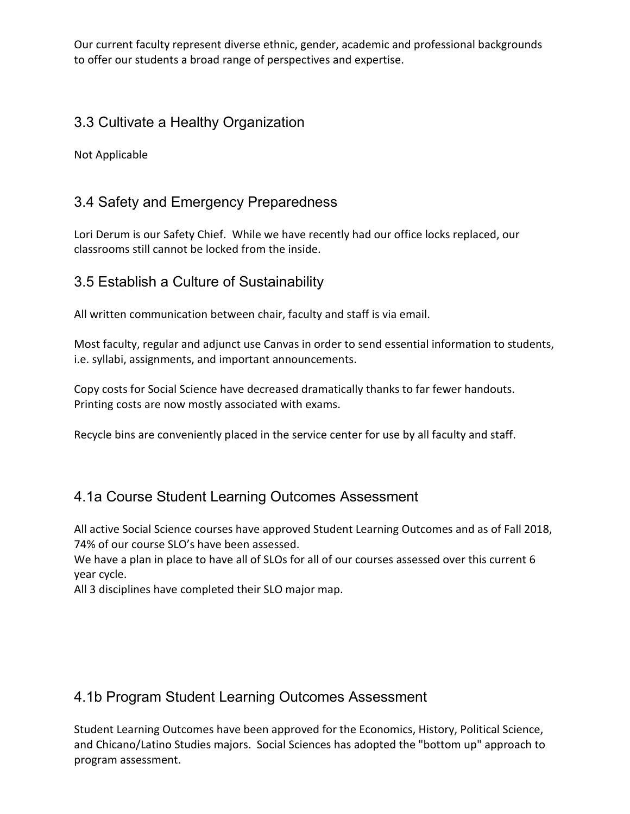Our current faculty represent diverse ethnic, gender, academic and professional backgrounds to offer our students a broad range of perspectives and expertise.

### 3.3 Cultivate a Healthy Organization

Not Applicable

## 3.4 Safety and Emergency Preparedness

Lori Derum is our Safety Chief. While we have recently had our office locks replaced, our classrooms still cannot be locked from the inside.

## 3.5 Establish a Culture of Sustainability

All written communication between chair, faculty and staff is via email.

Most faculty, regular and adjunct use Canvas in order to send essential information to students, i.e. syllabi, assignments, and important announcements.

Copy costs for Social Science have decreased dramatically thanks to far fewer handouts. Printing costs are now mostly associated with exams.

Recycle bins are conveniently placed in the service center for use by all faculty and staff.

## 4.1a Course Student Learning Outcomes Assessment

All active Social Science courses have approved Student Learning Outcomes and as of Fall 2018, 74% of our course SLO's have been assessed.

We have a plan in place to have all of SLOs for all of our courses assessed over this current 6 year cycle.

All 3 disciplines have completed their SLO major map.

### 4.1b Program Student Learning Outcomes Assessment

Student Learning Outcomes have been approved for the Economics, History, Political Science, and Chicano/Latino Studies majors. Social Sciences has adopted the "bottom up" approach to program assessment.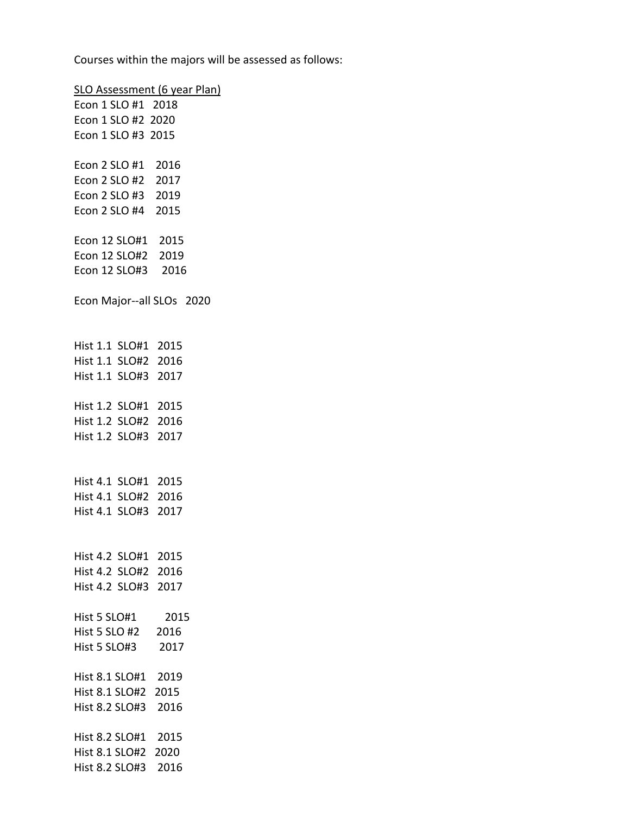Courses within the majors will be assessed as follows:

SLO Assessment (6 year Plan) Econ 1 SLO #1 2018 Econ 1 SLO #2 2020 Econ 1 SLO #3 2015 Econ 2 SLO #1 2016 Econ 2 SLO #2 2017 Econ 2 SLO #3 2019 Econ 2 SLO #4 2015 Econ 12 SLO#1 2015 Econ 12 SLO#2 2019 Econ 12 SLO#3 2016 Econ Major--all SLOs 2020 Hist 1.1 SLO#1 2015 Hist 1.1 SLO#2 2016 Hist 1.1 SLO#3 2017 Hist 1.2 SLO#1 2015 Hist 1.2 SLO#2 2016 Hist 1.2 SLO#3 2017 Hist 4.1 SLO#1 2015 Hist 4.1 SLO#2 2016 Hist 4.1 SLO#3 2017 Hist 4.2 SLO#1 2015 Hist 4.2 SLO#2 2016 Hist 4.2 SLO#3 2017 Hist 5 SLO#1 2015 Hist 5 SLO #2 2016 Hist 5 SLO#3 2017 Hist 8.1 SLO#1 2019 Hist 8.1 SLO#2 2015 Hist 8.2 SLO#3 2016 Hist 8.2 SLO#1 2015 Hist 8.1 SLO#2 2020 Hist 8.2 SLO#3 2016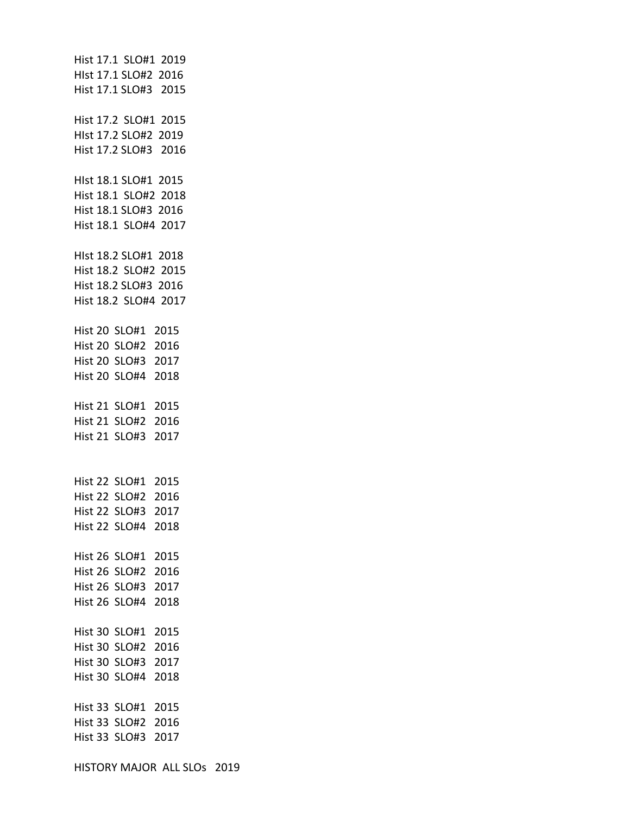Hist 17.1 SLO#1 2019 HIst 17.1 SLO#2 2016 Hist 17.1 SLO#3 2015 Hist 17.2 SLO#1 2015 HIst 17.2 SLO#2 2019 Hist 17.2 SLO#3 2016 HIst 18.1 SLO#1 2015 Hist 18.1 SLO#2 2018 Hist 18.1 SLO#3 2016 Hist 18.1 SLO#4 2017 HIst 18.2 SLO#1 2018 Hist 18.2 SLO#2 2015 Hist 18.2 SLO#3 2016 Hist 18.2 SLO#4 2017 Hist 20 SLO#1 2015 Hist 20 SLO#2 2016 Hist 20 SLO#3 2017 Hist 20 SLO#4 2018 Hist 21 SLO#1 2015 Hist 21 SLO#2 2016 Hist 21 SLO#3 2017 Hist 22 SLO#1 2015 Hist 22 SLO#2 2016 Hist 22 SLO#3 2017 Hist 22 SLO#4 2018 Hist 26 SLO#1 2015 Hist 26 SLO#2 2016 Hist 26 SLO#3 2017 Hist 26 SLO#4 2018 Hist 30 SLO#1 2015 Hist 30 SLO#2 2016 Hist 30 SLO#3 2017 Hist 30 SLO#4 2018 Hist 33 SLO#1 2015 Hist 33 SLO#2 2016 Hist 33 SLO#3 2017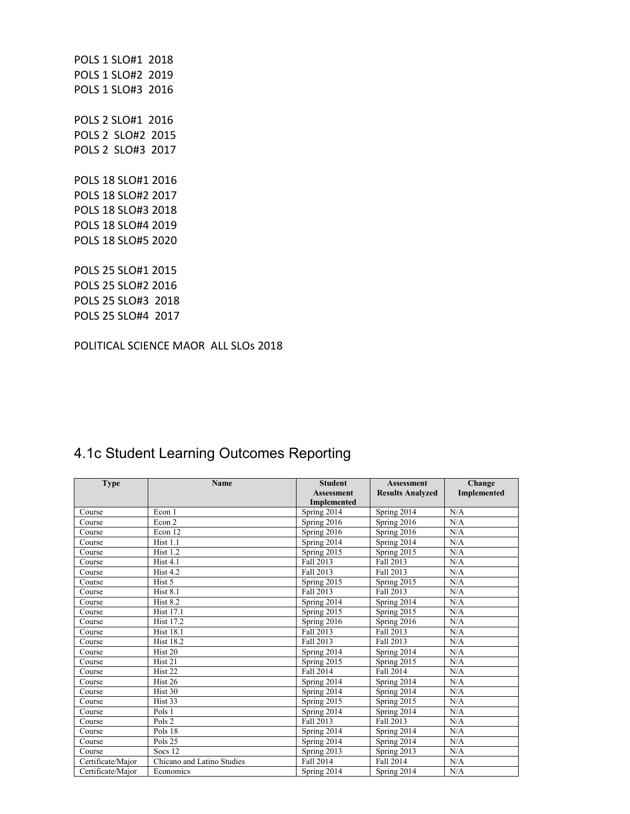POLS 1 SLO#1 2018 POLS 1 SLO#2 2019 POLS 1 SLO#3 2016 POLS 2 SLO#1 2016 POLS 2 SLO#2 2015 POLS 2 SLO#3 2017 POLS 18 SLO#1 2016 POLS 18 SLO#2 2017 POLS 18 SLO#3 2018 POLS 18 SLO#4 2019 POLS 18 SLO#5 2020 POLS 25 SLO#1 2015 POLS 25 SLO#2 2016 POLS 25 SLO#3 2018 POLS 25 SLO#4 2017

POLITICAL SCIENCE MAOR ALL SLOs 2018

| <b>Type</b>       | Name                       | <b>Student</b>    | <b>Assessment</b>       | Change             |
|-------------------|----------------------------|-------------------|-------------------------|--------------------|
|                   |                            | <b>Assessment</b> | <b>Results Analyzed</b> | <b>Implemented</b> |
|                   |                            | Implemented       |                         |                    |
| Course            | Econ 1                     | Spring 2014       | Spring 2014             | N/A                |
| Course            | Econ 2                     | Spring 2016       | Spring 2016             | N/A                |
| Course            | Econ 12                    | Spring 2016       | Spring 2016             | N/A                |
| Course            | Hist 1.1                   | Spring 2014       | Spring 2014             | N/A                |
| Course            | Hist 1.2                   | Spring 2015       | Spring 2015             | N/A                |
| Course            | Hist 4.1                   | Fall 2013         | Fall 2013               | N/A                |
| Course            | Hist 4.2                   | Fall 2013         | Fall 2013               | N/A                |
| Course            | Hist 5                     | Spring 2015       | Spring 2015             | N/A                |
| Course            | Hist 8.1                   | Fall 2013         | Fall 2013               | N/A                |
| Course            | <b>Hist 8.2</b>            | Spring 2014       | Spring 2014             | N/A                |
| Course            | <b>Hist 17.1</b>           | Spring 2015       | Spring 2015             | N/A                |
| Course            | <b>Hist 17.2</b>           | Spring 2016       | Spring 2016             | N/A                |
| Course            | <b>Hist 18.1</b>           | Fall 2013         | Fall 2013               | N/A                |
| Course            | <b>Hist 18.2</b>           | Fall 2013         | Fall 2013               | N/A                |
| Course            | Hist <sub>20</sub>         | Spring 2014       | Spring 2014             | N/A                |
| Course            | Hist <sub>21</sub>         | Spring 2015       | Spring 2015             | N/A                |
| Course            | Hist <sub>22</sub>         | Fall 2014         | Fall 2014               | N/A                |
| Course            | Hist <sub>26</sub>         | Spring 2014       | Spring 2014             | N/A                |
| Course            | Hist 30                    | Spring 2014       | Spring 2014             | N/A                |
| Course            | Hist <sub>33</sub>         | Spring 2015       | Spring 2015             | N/A                |
| Course            | Pols 1                     | Spring 2014       | Spring 2014             | N/A                |
| Course            | Pols 2                     | Fall 2013         | Fall 2013               | N/A                |
| Course            | Pols 18                    | Spring 2014       | Spring 2014             | N/A                |
| Course            | Pols 25                    | Spring 2014       | Spring 2014             | N/A                |
| Course            | Socs 12                    | Spring 2013       | Spring 2013             | N/A                |
| Certificate/Major | Chicano and Latino Studies | Fall 2014         | Fall 2014               | N/A                |
| Certificate/Maior | Economics                  | Spring 2014       | Spring 2014             | N/A                |

### 4.1c Student Learning Outcomes Reporting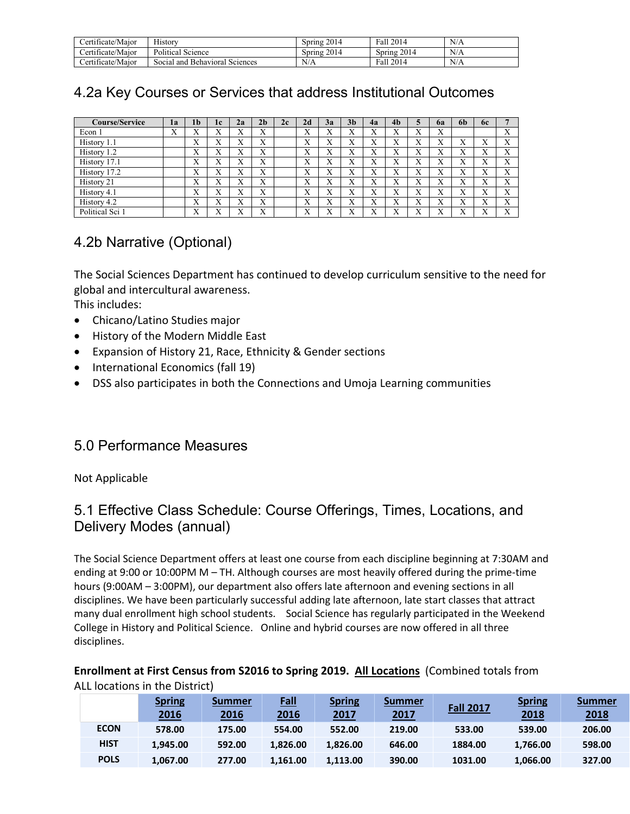| <i>∑</i> ertificate/Maior | $-1$<br>History                   | .2014<br>Spring           | 2014<br>Fall   | N/A |
|---------------------------|-----------------------------------|---------------------------|----------------|-----|
| Certificate/Maior         | Political<br>Science              | 2014<br>$S(\text{prime})$ | 2014<br>Spring | N/A |
| Certificate/Maior         | Social and Behavioral<br>Sciences | N/A                       | 2014<br>Fall   | N/A |

## 4.2a Key Courses or Services that address Institutional Outcomes

| <b>Course/Service</b> | la                | 1 <sub>b</sub>    | 1c                | 2a | 2 <sub>b</sub>    | 2c | 2d                        | 3a                        | 3 <sub>b</sub>            | 4a                | 4 <sub>b</sub> | 5 | <b>6a</b> | 6 <sub>b</sub>            | 6c                |                   |
|-----------------------|-------------------|-------------------|-------------------|----|-------------------|----|---------------------------|---------------------------|---------------------------|-------------------|----------------|---|-----------|---------------------------|-------------------|-------------------|
| Econ 1                | $\mathbf{v}$<br>л | $\mathbf{v}$<br>л | $\mathbf{v}$<br>л | X  | $\mathbf{v}$<br>A |    | $\mathbf{v}$<br>A         | v<br>л                    | $\mathbf{v}$<br>$\Lambda$ | $\mathbf{v}$<br>A | Х              | X | X         |                           |                   | $\mathbf{v}$<br>л |
| History 1.1           |                   | X                 | X                 | X  | $\mathbf{v}$<br>A |    | $\mathbf{v}$<br>A         | $\mathbf{v}$<br>$\lambda$ | $\mathbf{v}$<br>$\lambda$ | X                 | X              | X | X         | $\mathbf{v}$<br>A         | X                 | $\mathbf{v}$<br>л |
| History 1.2           |                   | X                 | Х                 | X  | $\mathbf{v}$<br>A |    | $\mathbf{v}$<br>A         | л                         | v<br>$\Lambda$            | X                 | Х              | X | X         | $\mathbf{v}$<br>A         | л                 | X                 |
| History 17.1          |                   | $\mathbf{v}$<br>A | $\mathbf{v}$<br>л | X  | $\mathbf{v}$<br>A |    | $\mathbf{v}$<br>$\Lambda$ | ٦z<br>л                   | v<br>$\Lambda$            | v<br>л            | Х              | X | X         | $\mathbf{v}$<br>$\Lambda$ | v<br>A            | $\mathbf{v}$<br>л |
| History 17.2          |                   | X                 | Х                 | X  | $\mathbf{v}$<br>A |    | $\mathbf{v}$<br>л         | $\mathbf{v}$<br>л         | $\mathbf v$<br>$\lambda$  | X                 | Х              | X | X         | $\mathbf{v}$<br>$\lambda$ | X                 | $\mathbf{v}$<br>A |
| History 21            |                   | Х                 | Х                 | X  | $\mathbf{v}$<br>л |    | $\mathbf{v}$<br>A         | л                         | v<br>$\Lambda$            | X                 | Х              | X | X         | л                         | A                 | X                 |
| History 4.1           |                   | $\mathbf{v}$<br>л | $\mathbf{v}$<br>л | X  | $\mathbf{v}$<br>A |    | $\mathbf{v}$<br>A         | ٦z<br>л                   | ٦z<br>$\Lambda$           | v<br>A            | Х              | X | X         | ٦Z<br>A                   | $\mathbf{v}$<br>л | $\mathbf{v}$<br>л |
| History 4.2           |                   | X                 | Х                 | X  | $\mathbf{v}$<br>A |    | $\mathbf{v}$<br>A         | X                         | $\mathbf v$<br>$\lambda$  | X                 | Х              | X | X         | X                         | X                 | $\mathbf{v}$<br>A |
| Political Sci 1       |                   | X                 | $\mathbf{v}$<br>л | X  | $\mathbf{v}$<br>A |    | $\mathbf{v}$<br>$\Lambda$ | л                         | v<br>$\Lambda$            | Х                 | X              | X | X         | ٦z<br>$\Lambda$           | л                 | $\mathbf{v}$<br>л |

## 4.2b Narrative (Optional)

The Social Sciences Department has continued to develop curriculum sensitive to the need for global and intercultural awareness.

This includes:

- Chicano/Latino Studies major
- History of the Modern Middle East
- Expansion of History 21, Race, Ethnicity & Gender sections
- International Economics (fall 19)
- DSS also participates in both the Connections and Umoja Learning communities

### 5.0 Performance Measures

Not Applicable

### 5.1 Effective Class Schedule: Course Offerings, Times, Locations, and Delivery Modes (annual)

The Social Science Department offers at least one course from each discipline beginning at 7:30AM and ending at 9:00 or 10:00PM M – TH. Although courses are most heavily offered during the prime-time hours (9:00AM – 3:00PM), our department also offers late afternoon and evening sections in all disciplines. We have been particularly successful adding late afternoon, late start classes that attract many dual enrollment high school students. Social Science has regularly participated in the Weekend College in History and Political Science. Online and hybrid courses are now offered in all three disciplines.

### **Enrollment at First Census from S2016 to Spring 2019. All Locations** (Combined totals from ALL locations in the District)

|             | <b>Spring</b><br>2016 | Summer<br>2016 | <b>Fall</b><br>2016 | <b>Spring</b><br><u>2017</u> | <b>Summer</b><br>2017 | <b>Fall 2017</b> | <b>Spring</b><br>2018 | Summer<br>2018 |
|-------------|-----------------------|----------------|---------------------|------------------------------|-----------------------|------------------|-----------------------|----------------|
| <b>ECON</b> | 578.00                | 175.00         | 554.00              | 552.00                       | 219.00                | 533.00           | 539.00                | 206.00         |
| <b>HIST</b> | 1,945.00              | 592.00         | 1,826.00            | 1,826.00                     | 646.00                | 1884.00          | 1,766.00              | 598.00         |
| <b>POLS</b> | 1,067.00              | 277.00         | 1,161.00            | 1,113.00                     | 390.00                | 1031.00          | 1,066.00              | 327.00         |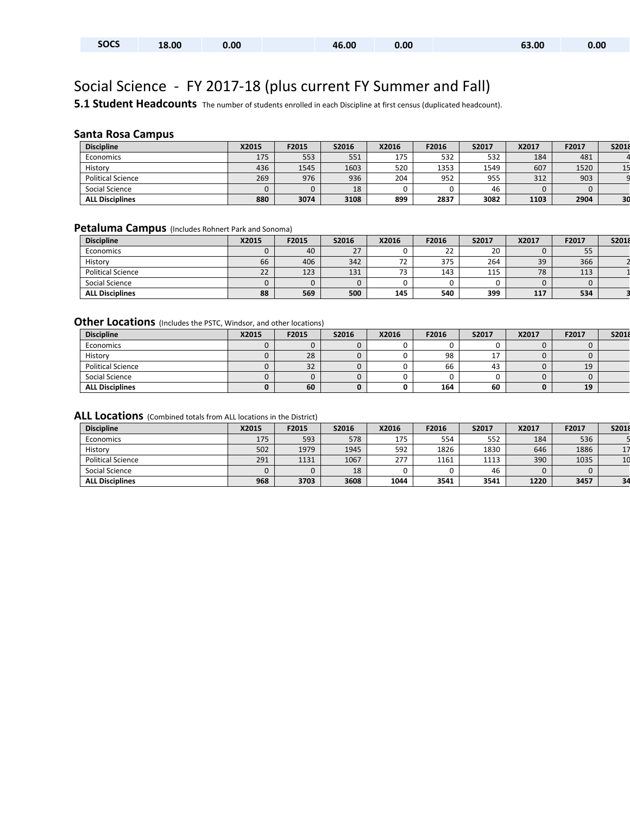| <b>SOCS</b><br>18.00<br>46.00<br>63.00<br>0.00<br>0.00 | 0.00 |
|--------------------------------------------------------|------|
|--------------------------------------------------------|------|

# Social Science - FY 2017-18 (plus current FY Summer and Fall)

**5.1 Student Headcounts** The number of students enrolled in each Discipline at first census (duplicated headcount).

### **Santa Rosa Campus**

| <b>Discipline</b>        | X2015 | F2015 | <b>S2016</b> | X2016 | F2016 | S2017 | X2017 | F2017 | S2018 |
|--------------------------|-------|-------|--------------|-------|-------|-------|-------|-------|-------|
| Economics                | 175   | 553   | 551          | 175   | 532   | 532   | 184   | 481   |       |
| History                  | 436   | 1545  | 1603         | 520   | 1353  | 1549  | 607   | 1520  |       |
| <b>Political Science</b> | 269   | 976   | 936          | 204   | 952   | 955   | 312   | 903   |       |
| Social Science           |       |       | 18           |       |       | 46    |       |       |       |
| <b>ALL Disciplines</b>   | 880   | 3074  | 3108         | 899   | 2837  | 3082  | 1103  | 2904  | 30    |

#### **Petaluma Campus** (Includes Rohnert Park and Sonoma)

| <b>Discipline</b>        | X2015 | F2015 | S2016 | X2016 | F2016 | S2017 | X2017 | F2017 | S2018 |
|--------------------------|-------|-------|-------|-------|-------|-------|-------|-------|-------|
| Economics                |       | 40    | 27    |       | 22    | 20    |       | 55    |       |
| History                  | 66    | 406   | 342   | 72    | 375   | 264   | 39    | 366   |       |
| <b>Political Science</b> | 22    | 123   | 131   | 73    | 143   | 115   | 78    | 113   |       |
| Social Science           |       |       |       |       |       |       |       |       |       |
| <b>ALL Disciplines</b>   | 88    | 569   | 500   | 145   | 540   | 399   | 117   | 534   |       |

#### **Other Locations** (Includes the PSTC, Windsor, and other locations)

| <b>Discipline</b>        | X2015 | F2015              | S2016 | X2016 | F2016 | S2017 | X2017 | F2017 | S2018 |
|--------------------------|-------|--------------------|-------|-------|-------|-------|-------|-------|-------|
| Economics                |       |                    | υ     |       |       |       |       |       |       |
| History                  |       | 28                 |       |       | 98    | a 1   |       |       |       |
| <b>Political Science</b> |       | $\mathbf{r}$<br>32 | 0     |       | 66    | 43    |       | 19    |       |
| Social Science           |       |                    | U     |       |       |       |       |       |       |
| <b>ALL Disciplines</b>   |       | 60                 | 0     |       | 164   | 60    |       | 19    |       |

| <b>Discipline</b>        | X2015 | F2015 | S2016 | X2016 | F2016 | S2017 | X2017 | F2017 | S2018 |
|--------------------------|-------|-------|-------|-------|-------|-------|-------|-------|-------|
| Economics                | 175   | 593   | 578   | 175   | 554   | 552   | 184   | 536   |       |
| History                  | 502   | 1979  | 1945  | 592   | 1826  | 1830  | 646   | 1886  |       |
| <b>Political Science</b> | 291   | 1131  | 1067  | 277   | 1161  | 1113  | 390   | 1035  |       |
| Social Science           |       |       | 18    |       |       | 46    |       |       |       |
| <b>ALL Disciplines</b>   | 968   | 3703  | 3608  | 1044  | 3541  | 3541  | 1220  | 3457  | 34    |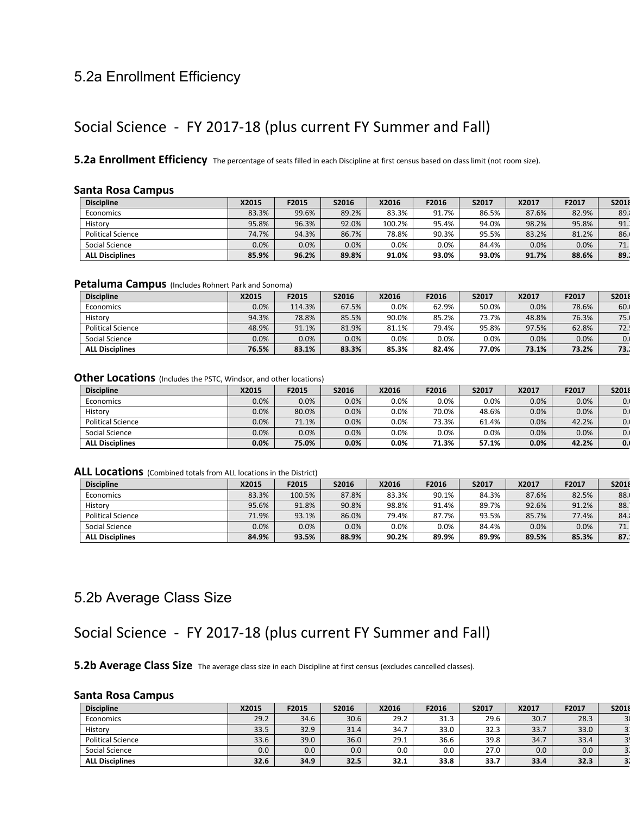### 5.2a Enrollment Efficiency

### Social Science - FY 2017-18 (plus current FY Summer and Fall)

**5.2a Enrollment Efficiency** The percentage of seats filled in each Discipline at first census based on class limit (not room size).

#### **Santa Rosa Campus**

| <b>Discipline</b>        | X2015   | F2015 | S2016 | X2016   | F2016 | S2017 | X2017 | F2017 | S2018 |
|--------------------------|---------|-------|-------|---------|-------|-------|-------|-------|-------|
| Economics                | 83.3%   | 99.6% | 89.2% | 83.3%   | 91.7% | 86.5% | 87.6% | 82.9% | 89.   |
| History                  | 95.8%   | 96.3% | 92.0% | 100.2%  | 95.4% | 94.0% | 98.2% | 95.8% | 91.   |
| <b>Political Science</b> | 74.7%   | 94.3% | 86.7% | 78.8%   | 90.3% | 95.5% | 83.2% | 81.2% | 86.   |
| Social Science           | $0.0\%$ | 0.0%  | 0.0%  | $0.0\%$ | 0.0%  | 84.4% | 0.0%  | 0.0%  | 71.1  |
| <b>ALL Disciplines</b>   | 85.9%   | 96.2% | 89.8% | 91.0%   | 93.0% | 93.0% | 91.7% | 88.6% | 89.1  |

#### **Petaluma Campus** (Includes Rohnert Park and Sonoma)

| <b>Discipline</b>        | X2015   | F2015  | S2016 | X2016   | F2016   | S2017   | X2017 | F2017 | S2018 |
|--------------------------|---------|--------|-------|---------|---------|---------|-------|-------|-------|
| Economics                | $0.0\%$ | 114.3% | 67.5% | $0.0\%$ | 62.9%   | 50.0%   | 0.0%  | 78.6% | 60.   |
| History                  | 94.3%   | 78.8%  | 85.5% | 90.0%   | 85.2%   | 73.7%   | 48.8% | 76.3% | 75.1  |
| <b>Political Science</b> | 48.9%   | 91.1%  | 81.9% | 81.1%   | 79.4%   | 95.8%   | 97.5% | 62.8% | 72.1  |
| Social Science           | $0.0\%$ | 0.0%   | 0.0%  | $0.0\%$ | $0.0\%$ | $0.0\%$ | 0.0%  | 0.0%  | 0.    |
| <b>ALL Disciplines</b>   | 76.5%   | 83.1%  | 83.3% | 85.3%   | 82.4%   | 77.0%   | 73.1% | 73.2% | 73.1  |

#### **Other Locations** (Includes the PSTC, Windsor, and other locations)

| <b>Discipline</b>      | X2015   | F2015 | S2016 | X2016   | F2016   | S2017 | X2017 | F2017 | S2018 |
|------------------------|---------|-------|-------|---------|---------|-------|-------|-------|-------|
| Economics              | 0.0%    | 0.0%  | 0.0%  | $0.0\%$ | $0.0\%$ | 0.0%  | 0.0%  | 0.0%  | 0.    |
| History                | 0.0%    | 80.0% | 0.0%  | $0.0\%$ | 70.0%   | 48.6% | 0.0%  | 0.0%  | 0.    |
| Political Science      | 0.0%    | 71.1% | 0.0%  | $0.0\%$ | 73.3%   | 61.4% | 0.0%  | 42.2% | 0.    |
| Social Science         | $0.0\%$ | 0.0%  | 0.0%  | $0.0\%$ | $0.0\%$ | 0.0%  | 0.0%  | 0.0%  | 0.1   |
| <b>ALL Disciplines</b> | $0.0\%$ | 75.0% | 0.0%  | 0.0%    | 71.3%   | 57.1% | 0.0%  | 42.2% | 0.1   |

#### **ALL Locations** (Combined totals from ALL locations in the District)

| <b>Discipline</b>        | X2015 | F2015  | S2016   | X2016   | F2016   | S2017 | <b>X2017</b> | F2017 | S2018 |
|--------------------------|-------|--------|---------|---------|---------|-------|--------------|-------|-------|
| Economics                | 83.3% | 100.5% | 87.8%   | 83.3%   | 90.1%   | 84.3% | 87.6%        | 82.5% | 88.   |
| History                  | 95.6% | 91.8%  | 90.8%   | 98.8%   | 91.4%   | 89.7% | 92.6%        | 91.2% | 88.   |
| <b>Political Science</b> | 71.9% | 93.1%  | 86.0%   | 79.4%   | 87.7%   | 93.5% | 85.7%        | 77.4% | 84.   |
| Social Science           | 0.0%  | 0.0%   | $0.0\%$ | $0.0\%$ | $0.0\%$ | 84.4% | 0.0%         | 0.0%  | 71.1  |
| <b>ALL Disciplines</b>   | 84.9% | 93.5%  | 88.9%   | 90.2%   | 89.9%   | 89.9% | 89.5%        | 85.3% | 87.   |

### 5.2b Average Class Size

## Social Science - FY 2017-18 (plus current FY Summer and Fall)

**5.2b Average Class Size** The average class size in each Discipline at first census (excludes cancelled classes).

#### **Santa Rosa Campus**

| <b>Discipline</b>        | X2015 | F2015 | S2016            | X2016 | F2016 | S2017 | X2017 | F2017 | S2018          |
|--------------------------|-------|-------|------------------|-------|-------|-------|-------|-------|----------------|
| Economics                | 29.2  | 34.6  | 30.6             | 29.2  | 31.3  | 29.6  | 30.7  | 28.3  |                |
| History                  | 33.5  | 32.9  | 31.4             | 34.7  | 33.0  | 32.3  | 33.7  | 33.0  |                |
| <b>Political Science</b> | 33.6  | 39.0  | 36.0             | 29.1  | 36.6  | 39.8  | 34.7  | 33.4  |                |
| Social Science           | 0.0   | 0.0   | 0.0 <sub>1</sub> | 0.0   | 0.0   | 27.0  | 0.0   | 0.0   | $\overline{3}$ |
| <b>ALL Disciplines</b>   | 32.6  | 34.9  | 32.5             | 32.1  | 33.8  | 33.7  | 33.4  | 32.3  | 3 <sub>i</sub> |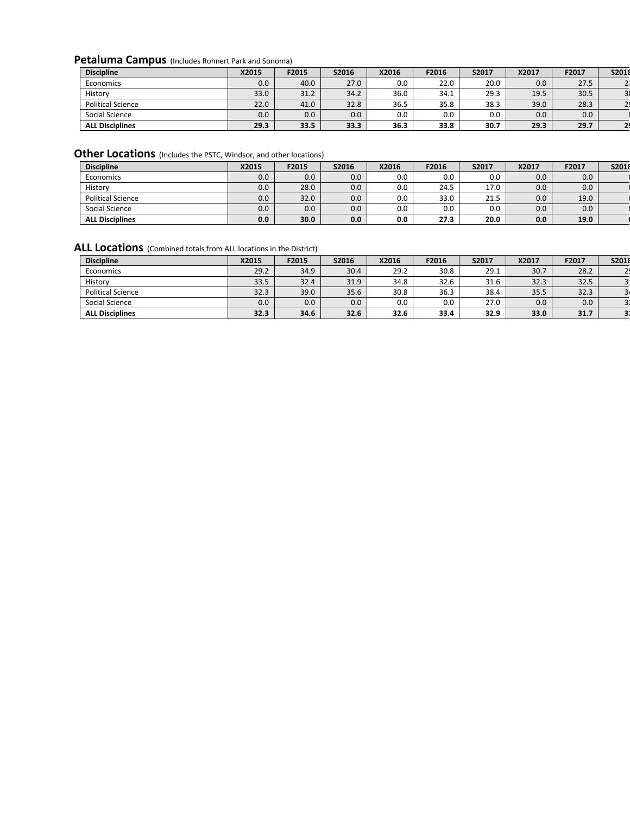### **Petaluma Campus** (Includes Rohnert Park and Sonoma)

| <b>Discipline</b>        | X2015 | F2015 | S2016 | X2016 | F2016 | S2017 | X2017 | F2017 | <b>S2018</b> |
|--------------------------|-------|-------|-------|-------|-------|-------|-------|-------|--------------|
| Economics                | 0.0   | 40.0  | 27.0  | 0.0   | 22.0  | 20.0  | 0.0   | 27.5  |              |
| History                  | 33.0  | 31.2  | 34.2  | 36.0  | 34.1  | 29.3  | 19.5  | 30.5  |              |
| <b>Political Science</b> | 22.0  | 41.0  | 32.8  | 36.5  | 35.8  | 38.3  | 39.0  | 28.3  |              |
| Social Science           | 0.0   | 0.0   | 0.0   | 0.0   | 0.0   | 0.0   | 0.0   | 0.0   |              |
| <b>ALL Disciplines</b>   | 29.3  | 33.5  | 33.3  | 36.3  | 33.8  | 30.7  | 29.3  | 29.7  |              |

## **Other Locations** (Includes the PSTC, Windsor, and other locations)

| <b>Discipline</b>        | X2015 | F2015 | <b>S2016</b> | X2016 | F2016   | S2017 | X2017 | F2017 | S2018 |
|--------------------------|-------|-------|--------------|-------|---------|-------|-------|-------|-------|
| Economics                | 0.0   | 0.0   | 0.0          | 0.0   | $0.0\,$ | 0.0   | 0.0   | 0.0   |       |
| History                  | 0.0   | 28.0  | 0.0          | 0.0   | 24.5    | 17.0  | 0.0   | 0.0   |       |
| <b>Political Science</b> | 0.0   | 32.0  | 0.0          | 0.0   | 33.0    | 21.5  | 0.0   | 19.0  |       |
| Social Science           | 0.0   | 0.0   | 0.0          | 0.0   | $0.0\,$ | 0.0   | 0.0   | 0.0   |       |
| <b>ALL Disciplines</b>   | 0.0   | 30.0  | 0.0          | 0.0   | 27.3    | 20.0  | 0.0   | 19.0  |       |

| <b>Discipline</b>        | X2015 | F2015 | S2016            | X2016 | F2016 | S2017 | X2017 | F2017 | S2018                   |
|--------------------------|-------|-------|------------------|-------|-------|-------|-------|-------|-------------------------|
| Economics                | 29.2  | 34.9  | 30.4             | 29.2  | 30.8  | 29.1  | 30.7  | 28.2  |                         |
| History                  | 33.5  | 32.4  | 31.9             | 34.8  | 32.6  | 31.6  | 32.3  | 32.5  |                         |
| <b>Political Science</b> | 32.3  | 39.0  | 35.6             | 30.8  | 36.3  | 38.4  | 35.5  | 32.3  | $\overline{a}$          |
| Social Science           | 0.0   | 0.0   | 0.0 <sub>1</sub> | 0.0   | 0.0   | 27.0  | 0.0   | 0.0   | . ح                     |
| <b>ALL Disciplines</b>   | 32.3  | 34.6  | 32.6             | 32.6  | 33.4  | 32.9  | 33.0  | 31.7  | $\overline{\mathbf{3}}$ |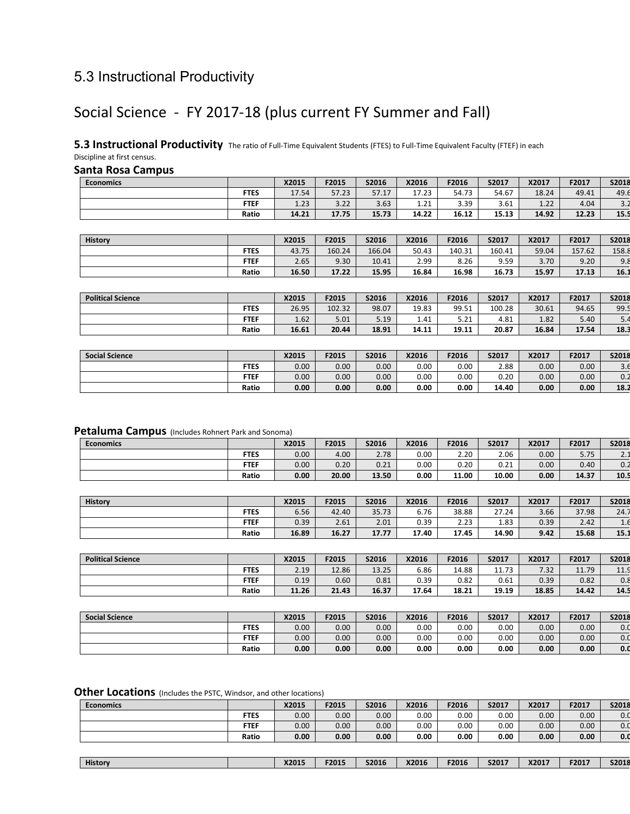## 5.3 Instructional Productivity

## Social Science - FY 2017-18 (plus current FY Summer and Fall)

**5.3 Instructional Productivity** The ratio of Full-Time Equivalent Students (FTES) to Full-Time Equivalent Faculty (FTEF) in each Discipline at first census.

#### **Santa Rosa Campus**

| <b>Economics</b> |             | X2015 | F2015       | S2016 | X2016      | F2016 | S2017 | X2017 | F2017 | <b>S2018</b> |
|------------------|-------------|-------|-------------|-------|------------|-------|-------|-------|-------|--------------|
|                  | <b>FTES</b> | 17.54 | 57.23       | 57.17 | 17.23      | 54.73 | 54.67 | 18.24 | 49.41 | 49.6         |
|                  | <b>FTEF</b> | 1.23  | ר ר<br>3.ZZ | 3.63  | 21<br>⊥.∠⊥ | 3.39  | 3.61  | 1.22  | 4.04  | ے . د        |
|                  | Ratio       | 14.21 | 17.75       | 15.73 | 14.22      | 16.12 | 15.13 | 14.92 | 12.23 | 15.5         |

| <b>History</b> |             | X2015 | F2015  | S2016  | X2016 | F2016  | S2017  | X2017 | F2017  | S2018 |
|----------------|-------------|-------|--------|--------|-------|--------|--------|-------|--------|-------|
|                | <b>FTES</b> | 43.75 | 160.24 | 166.04 | 50.43 | 140.31 | 160.41 | 59.04 | 157.62 | 158.8 |
|                | <b>FTEF</b> | 2.65  | 9.30   | 10.41  | 2.99  | 8.26   | 9.59   | 3.70  | 9.20   | 9.8   |
|                | Ratio       | 16.50 | 17.22  | 15.95  | 16.84 | 16.98  | 16.73  | 15.97 | 17.13  | 16.1  |

| <b>Political Science</b> |             | X2015 | F2015  | S2016 | X2016 | F2016 | S2017  | X2017 | F2017 | S2018 |
|--------------------------|-------------|-------|--------|-------|-------|-------|--------|-------|-------|-------|
|                          | <b>FTES</b> | 26.95 | 102.32 | 98.07 | 19.83 | 99.51 | 100.28 | 30.61 | 94.65 | 99.5  |
|                          | <b>FTEF</b> | 1.62  | 5.01   | 5.19  | 1.41  | 5.21  | 4.81   | 1.82  | 5.40  | 5.4   |
|                          | Ratio       | 16.61 | 20.44  | 18.91 | 14.11 | 19.11 | 20.87  | 16.84 | 17.54 | 18.3  |

| <b>Social Science</b> |             | X2015 | F2015 | S2016 | X2016 | F2016 | S2017 | X2017 | F2017 | S2018 |
|-----------------------|-------------|-------|-------|-------|-------|-------|-------|-------|-------|-------|
|                       | <b>FTES</b> | 0.00  | 0.00  | 0.00  | 0.00  | 0.00  | 2.88  | 0.00  | 0.00  | 3.O   |
|                       | <b>FTEF</b> | 0.00  | 0.00  | 0.00  | 0.00  | 0.00  | 0.20  | 0.00  | 0.00  | 0.2   |
|                       | Ratio       | 0.00  | 0.00  | 0.00  | 0.00  | 0.00  | 14.40 | 0.00  | 0.00  | 18.2  |

#### **Petaluma Campus** (Includes Rohnert Park and Sonoma)

| <b>Economics</b> |             | X2015 | F2015 | S2016 | X2016 | F2016 | S2017 | X2017 | F2017 | S2018    |
|------------------|-------------|-------|-------|-------|-------|-------|-------|-------|-------|----------|
|                  | <b>FTES</b> | 0.00  | 4.00  | 2.78  | 0.00  | 2.20  | 2.06  | 0.00  | 5.75  | <u>.</u> |
|                  | <b>FTEF</b> | 0.00  | 0.20  | 0.21  | 0.00  | 0.20  | 0.21  | 0.00  | 0.40  | 0.2      |
|                  | Ratio       | 0.00  | 20.00 | 13.50 | 0.00  | 11.00 | 10.00 | 0.00  | 14.37 | 10.5     |

| <b>History</b> |             | X2015 | F2015 | S2016 | X2016 | F2016 | S2017 | X2017 | F2017 | <b>S2018</b> |
|----------------|-------------|-------|-------|-------|-------|-------|-------|-------|-------|--------------|
|                | <b>FTES</b> | 6.56  | 42.40 | 35.73 | 6.76  | 38.88 | 27.24 | 3.66  | 37.98 | 24.7         |
|                | <b>FTEF</b> | 0.39  | 2.61  | 2.01  | 0.39  | 2.23  | 1.83  | 0.39  | 2.42  | T.O          |
|                | Ratio       | 16.89 | 16.27 | 17.77 | 17.40 | 17.45 | 14.90 | 9.42  | 15.68 | 15.1         |

| <b>Political Science</b> |             | X2015 | F2015 | S2016 | X2016 | F2016 | S2017 | X2017 | F2017 | S2018 |
|--------------------------|-------------|-------|-------|-------|-------|-------|-------|-------|-------|-------|
|                          | <b>FTES</b> | 2.19  | 12.86 | 13.25 | 6.86  | 14.88 | 11.73 | 7.32  | 11.79 | 11.9  |
|                          | <b>FTEF</b> | 0.19  | 0.60  | 0.81  | 0.39  | 0.82  | 0.61  | 0.39  | 0.82  | 0.8   |
|                          | Ratio       | 11.26 | 21.43 | 16.37 | 17.64 | 18.21 | 19.19 | 18.85 | 14.42 | 14.5  |

| <b>Social Science</b> |             | X2015 | F2015 | S2016             | X2016    | F2016 | S2017 | X2017 | F2017 | S2018 |
|-----------------------|-------------|-------|-------|-------------------|----------|-------|-------|-------|-------|-------|
|                       | <b>FTES</b> | 0.00  | 0.00  | 0.00 <sub>1</sub> | $0.00\,$ | 0.00  | 0.00  | 0.00  | 0.00  | 0.0   |
|                       | <b>FTEF</b> | 0.00  | 0.00  | 0.00 <sub>1</sub> | 0.00     | 0.00  | 0.00  | 0.00  | 0.00  | 0.0   |
|                       | Ratio       | 0.00  | 0.00  | 0.00              | 0.00     | 0.00  | 0.00  | 0.00  | 0.00  | 0.0   |

#### **Other Locations** (Includes the PSTC, Windsor, and other locations)

| <b>Economics</b> |             | X2015 | F2015 | S2016 | X2016 | F2016 | S2017 | X2017 | F2017 | S2018        |
|------------------|-------------|-------|-------|-------|-------|-------|-------|-------|-------|--------------|
|                  | <b>FTES</b> | 0.00  | 0.00  | 0.00  | 0.00  | 0.00  | 0.00  | 0.00  | 0.00  | 0.0          |
|                  | <b>FTEF</b> | 0.00  | 0.00  | 0.00  | 0.00  | 0.00  | 0.00  | 0.00  | 0.00  | 0.0          |
|                  | Ratio       | 0.00  | 0.00  | 0.00  | 0.00  | 0.00  | 0.00  | 0.00  | 0.00  | 0.0          |
|                  |             |       |       |       |       |       |       |       |       |              |
| History          |             | X2015 | F2015 | S2016 | X2016 | F2016 | S2017 | X2017 | F2017 | <b>S2018</b> |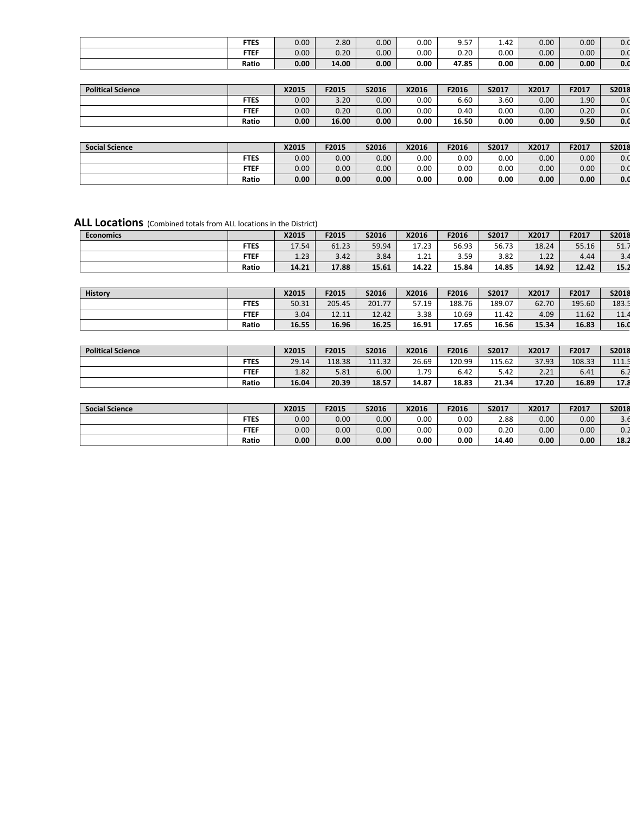| <b>FTES</b> | 0.00 | 2.80  | 0.00 <sub>1</sub> | 0.00 | 9.57  | 1.42 | 0.00              | 0.00 | 0.0 |
|-------------|------|-------|-------------------|------|-------|------|-------------------|------|-----|
| <b>FTEF</b> | 0.00 | 0.20  | 0.00              | 0.00 | 0.20  | 0.00 | 0.00 <sub>1</sub> | 0.00 | 0.0 |
| Ratio       | 0.00 | 14.00 | 0.00              | 0.00 | 47.85 | 0.00 | 0.00 <sub>1</sub> | 0.00 | 0.0 |

| <b>Political Science</b> |             | X2015 | F2015 | S2016             | X2016 | F2016 | S2017 | X2017 | F2017             | S2018 |
|--------------------------|-------------|-------|-------|-------------------|-------|-------|-------|-------|-------------------|-------|
|                          | <b>FTES</b> | 0.00  | 3.20  | $0.00\,$          | 0.00  | 6.60  | 3.60  | 0.00  | 1.90 <sub>1</sub> | 0.0   |
|                          | <b>FTEF</b> | 0.00  | 0.20  | $0.00\,$          | 0.00  | 0.40  | 0.00  | 0.00  | 0.20              | 0.0   |
|                          | Ratio       | 0.00  | 16.00 | 0.00 <sub>1</sub> | 0.00  | 16.50 | 0.00  | 0.00  | 9.50              | 0.0   |

| <b>Social Science</b> |             | X2015 | F2015 | S2016 | X2016 | F2016    | S2017 | X2017 | F2017 | S2018 |
|-----------------------|-------------|-------|-------|-------|-------|----------|-------|-------|-------|-------|
|                       | <b>FTES</b> | 0.00  | 0.00  | 0.00  | 0.00  | $0.00\,$ | 0.00  | 0.00  | 0.00  | 0.0   |
|                       | <b>FTEF</b> | 0.00  | 0.00  | 0.00  | 0.00  | $0.00\,$ | 0.00  | 0.00  | 0.00  | 0.0   |
|                       | Ratio       | 0.00  | 0.00  | 0.00  | 0.00  | 0.00     | 0.00  | 0.00  | 0.00  | 0.0   |

| <b>Economics</b> |             | X2015 | F2015 | S2016 | X2016      | F2016 | S2017 | X2017 | F2017 | S2018 |
|------------------|-------------|-------|-------|-------|------------|-------|-------|-------|-------|-------|
|                  | <b>FTES</b> | 17.54 | 61.23 | 59.94 | 17.23      | 56.93 | 56.73 | 18.24 | 55.16 | 51.7  |
|                  | <b>FTEF</b> | 1.23  | 3.42  | 3.84  | 21<br>⊥.∠⊥ | 3.59  | 3.82  | 1.22  | 4.44  | ے.د   |
|                  | Ratio       | 14.21 | 17.88 | 15.61 | 14.22      | 15.84 | 14.85 | 14.92 | 12.42 | 15.2  |

| <b>History</b> |             | X2015 | F2015  | S2016  | X2016 | F2016  | S2017  | X2017 | F2017  | S2018 |
|----------------|-------------|-------|--------|--------|-------|--------|--------|-------|--------|-------|
|                | <b>FTES</b> | 50.31 | 205.45 | 201.77 | 57.19 | 188.76 | 189.07 | 62.70 | 195.60 | 183.5 |
|                | <b>FTEF</b> | 3.04  | 12.11  | 12.42  | 3.38  | 10.69  | 11.42  | 4.09  | 11.62  | 11.4  |
|                | Ratio       | 16.55 | 16.96  | 16.25  | 16.91 | 17.65  | 16.56  | 15.34 | 16.83  | 16.0  |

| <b>Political Science</b> |             | X2015 | F2015  | S2016  | X2016 | F2016  | S2017  | X2017 | F2017  | S2018 |
|--------------------------|-------------|-------|--------|--------|-------|--------|--------|-------|--------|-------|
|                          | <b>FTES</b> | 29.14 | 118.38 | 111.32 | 26.69 | 120.99 | 115.62 | 37.93 | 108.33 | 111.5 |
|                          | <b>FTEF</b> | 1.82  | 5.81   | 6.00   | 1.79  | 6.42   | 5.42   | 2.21  | 6.41   | 6.4   |
|                          | Ratio       | 16.04 | 20.39  | 18.57  | 14.87 | 18.83  | 21.34  | 17.20 | 16.89  | 17.8  |

| <b>Social Science</b> |             | X2015             | F2015 | S2016             | X2016 | F2016 | S2017 | X2017 | F2017 | S2018         |
|-----------------------|-------------|-------------------|-------|-------------------|-------|-------|-------|-------|-------|---------------|
|                       | <b>FTES</b> | 0.00 <sub>1</sub> | 0.00  | 0.00 <sub>1</sub> | 0.00  | 0.00  | 2.88  | 0.00  | 0.00  | $\sim$<br>3.O |
|                       | <b>FTEF</b> | 0.00              | 0.00  | 0.00              | 0.00  | 0.00  | 0.20  | 0.00  | 0.00  | 0.2           |
|                       | Ratio       | 0.00              | 0.00  | $0.00\,$          | 0.00  | 0.00  | 14.40 | 0.00  | 0.00  | 18.2          |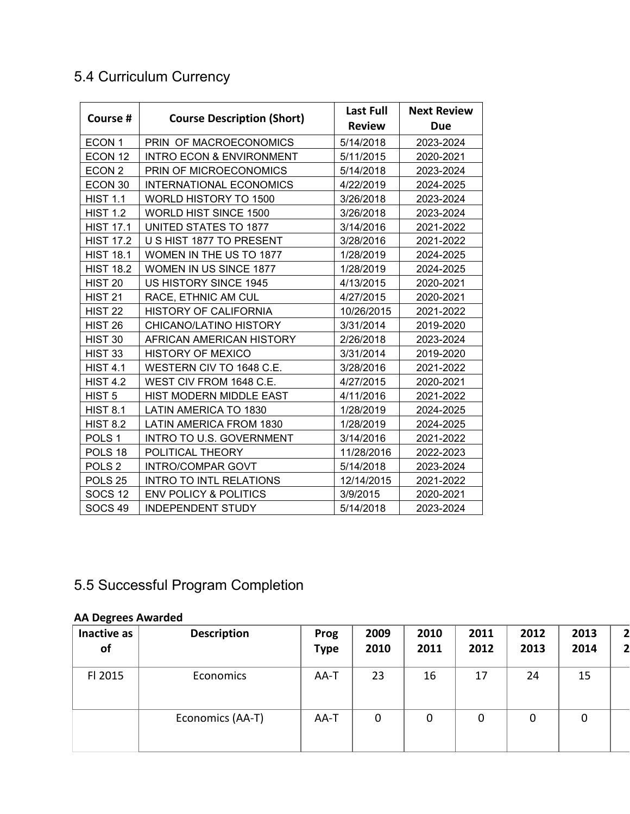# 5.4 Curriculum Currency

| Course #           | <b>Course Description (Short)</b>   | <b>Last Full</b> | <b>Next Review</b> |
|--------------------|-------------------------------------|------------------|--------------------|
|                    |                                     | <b>Review</b>    | <b>Due</b>         |
| ECON <sub>1</sub>  | PRIN OF MACROECONOMICS              | 5/14/2018        | 2023-2024          |
| ECON 12            | <b>INTRO ECON &amp; ENVIRONMENT</b> | 5/11/2015        | 2020-2021          |
| ECON <sub>2</sub>  | PRIN OF MICROECONOMICS              | 5/14/2018        | 2023-2024          |
| ECON 30            | <b>INTERNATIONAL ECONOMICS</b>      | 4/22/2019        | 2024-2025          |
| <b>HIST 1.1</b>    | WORLD HISTORY TO 1500               | 3/26/2018        | 2023-2024          |
| <b>HIST 1.2</b>    | <b>WORLD HIST SINCE 1500</b>        | 3/26/2018        | 2023-2024          |
| <b>HIST 17.1</b>   | <b>UNITED STATES TO 1877</b>        | 3/14/2016        | 2021-2022          |
| <b>HIST 17.2</b>   | U S HIST 1877 TO PRESENT            | 3/28/2016        | 2021-2022          |
| <b>HIST 18.1</b>   | WOMEN IN THE US TO 1877             | 1/28/2019        | 2024-2025          |
| <b>HIST 18.2</b>   | <b>WOMEN IN US SINCE 1877</b>       | 1/28/2019        | 2024-2025          |
| HIST <sub>20</sub> | US HISTORY SINCE 1945               | 4/13/2015        | 2020-2021          |
| <b>HIST 21</b>     | RACE, ETHNIC AM CUL                 | 4/27/2015        | 2020-2021          |
| <b>HIST 22</b>     | <b>HISTORY OF CALIFORNIA</b>        | 10/26/2015       | 2021-2022          |
| <b>HIST 26</b>     | CHICANO/LATINO HISTORY              | 3/31/2014        | 2019-2020          |
| HIST 30            | AFRICAN AMERICAN HISTORY            | 2/26/2018        | 2023-2024          |
| <b>HIST 33</b>     | <b>HISTORY OF MEXICO</b>            | 3/31/2014        | 2019-2020          |
| <b>HIST 4.1</b>    | WESTERN CIV TO 1648 C.E.            | 3/28/2016        | 2021-2022          |
| <b>HIST 4.2</b>    | WEST CIV FROM 1648 C.E.             | 4/27/2015        | 2020-2021          |
| HIST <sub>5</sub>  | HIST MODERN MIDDLE EAST             | 4/11/2016        | 2021-2022          |
| <b>HIST 8.1</b>    | LATIN AMERICA TO 1830               | 1/28/2019        | 2024-2025          |
| <b>HIST 8.2</b>    | LATIN AMERICA FROM 1830             | 1/28/2019        | 2024-2025          |
| POLS <sub>1</sub>  | INTRO TO U.S. GOVERNMENT            | 3/14/2016        | 2021-2022          |
| POLS 18            | POLITICAL THEORY                    | 11/28/2016       | 2022-2023          |
| POLS <sub>2</sub>  | <b>INTRO/COMPAR GOVT</b>            | 5/14/2018        | 2023-2024          |
| POLS <sub>25</sub> | <b>INTRO TO INTL RELATIONS</b>      | 12/14/2015       | 2021-2022          |
| <b>SOCS 12</b>     | <b>ENV POLICY &amp; POLITICS</b>    | 3/9/2015         | 2020-2021          |
| <b>SOCS 49</b>     | <b>INDEPENDENT STUDY</b>            | 5/14/2018        | 2023-2024          |

# 5.5 Successful Program Completion

### **AA Degrees Awarded**

| Inactive as<br>of | <b>Description</b> | Prog<br><b>Type</b> | 2009<br>2010 | 2010<br>2011 | 2011<br>2012 | 2012<br>2013 | 2013<br>2014 | $\mathbf{z}$<br>2 |
|-------------------|--------------------|---------------------|--------------|--------------|--------------|--------------|--------------|-------------------|
| FI 2015           | Economics          | AA-T                | 23           | 16           | 17           | 24           | 15           |                   |
|                   | Economics (AA-T)   | AA-T                | $\mathbf 0$  | 0            | 0            | $\mathbf 0$  | 0            |                   |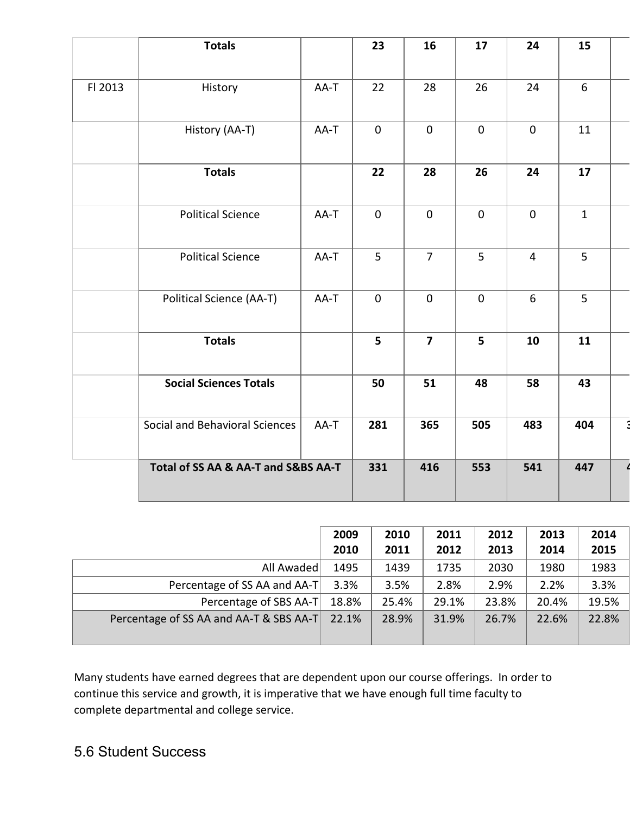|         | <b>Totals</b>                       |      | 23             | 16             | 17              | 24             | 15           |  |
|---------|-------------------------------------|------|----------------|----------------|-----------------|----------------|--------------|--|
| FI 2013 | History                             | AA-T | 22             | 28             | 26              | 24             | $6\,$        |  |
|         |                                     |      |                |                |                 |                |              |  |
|         | History (AA-T)                      | AA-T | $\mathbf 0$    | $\mathbf{0}$   | $\mathbf{0}$    | $\mathbf{0}$   | 11           |  |
|         | <b>Totals</b>                       |      | 22             | 28             | 26              | 24             | 17           |  |
|         | <b>Political Science</b>            | AA-T | $\mathbf{0}$   | $\mathbf{0}$   | $\mathbf{0}$    | $\mathbf{0}$   | $\mathbf{1}$ |  |
|         | <b>Political Science</b>            | AA-T | 5              | $\overline{7}$ | 5               | $\overline{4}$ | 5            |  |
|         | Political Science (AA-T)            | AA-T | $\mathbf{0}$   | $\mathbf 0$    | $\mathbf 0$     | 6              | 5            |  |
|         | <b>Totals</b>                       |      | 5 <sup>1</sup> | $\overline{7}$ | $5\overline{5}$ | 10             | 11           |  |
|         | <b>Social Sciences Totals</b>       |      | 50             | 51             | 48              | 58             | 43           |  |
|         | Social and Behavioral Sciences      | AA-T | 281            | 365            | 505             | 483            | 404          |  |
|         | Total of SS AA & AA-T and S&BS AA-T | 331  | 416            | 553            | 541             | 447            |              |  |

|                                         | 2009  | 2010  | 2011  | 2012  | 2013  | 2014  |
|-----------------------------------------|-------|-------|-------|-------|-------|-------|
|                                         | 2010  | 2011  | 2012  | 2013  | 2014  | 2015  |
| All Awaded                              | 1495  | 1439  | 1735  | 2030  | 1980  | 1983  |
| Percentage of SS AA and AA-T            | 3.3%  | 3.5%  | 2.8%  | 2.9%  | 2.2%  | 3.3%  |
| Percentage of SBS AA-T                  | 18.8% | 25.4% | 29.1% | 23.8% | 20.4% | 19.5% |
| Percentage of SS AA and AA-T & SBS AA-T | 22.1% | 28.9% | 31.9% | 26.7% | 22.6% | 22.8% |

Many students have earned degrees that are dependent upon our course offerings. In order to continue this service and growth, it is imperative that we have enough full time faculty to complete departmental and college service.

## 5.6 Student Success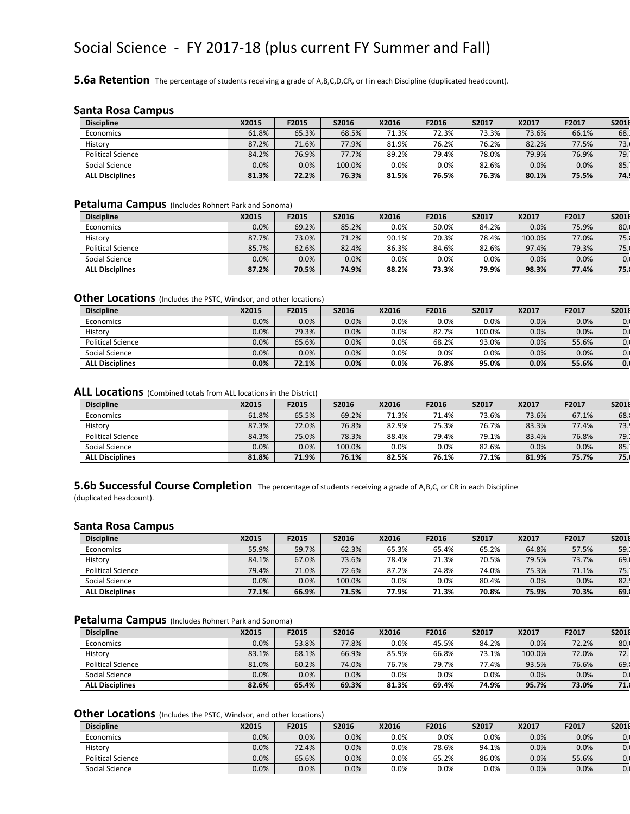## Social Science - FY 2017-18 (plus current FY Summer and Fall)

**5.6a Retention** The percentage of students receiving a grade of A,B,C,D,CR, or I in each Discipline (duplicated headcount).

#### **Santa Rosa Campus**

| <b>Discipline</b>        | X2015 | F2015 | S2016  | X2016   | F2016   | S2017 | X2017 | F2017 | S2018 |
|--------------------------|-------|-------|--------|---------|---------|-------|-------|-------|-------|
| Economics                | 61.8% | 65.3% | 68.5%  | 71.3%   | 72.3%   | 73.3% | 73.6% | 66.1% | 68.   |
| History                  | 87.2% | 71.6% | 77.9%  | 81.9%   | 76.2%   | 76.2% | 82.2% | 77.5% | 73.1  |
| <b>Political Science</b> | 84.2% | 76.9% | 77.7%  | 89.2%   | 79.4%   | 78.0% | 79.9% | 76.9% | 79.1  |
| Social Science           | 0.0%  | 0.0%  | 100.0% | $0.0\%$ | $0.0\%$ | 82.6% | 0.0%  | 0.0%  | 85.1  |
| <b>ALL Disciplines</b>   | 81.3% | 72.2% | 76.3%  | 81.5%   | 76.5%   | 76.3% | 80.1% | 75.5% | 74.1  |

#### **Petaluma Campus** (Includes Rohnert Park and Sonoma)

| <b>Discipline</b>      | X2015   | F2015 | S2016 | X2016   | F2016   | S2017 | X2017  | F2017 | S2018 |
|------------------------|---------|-------|-------|---------|---------|-------|--------|-------|-------|
| Economics              | $0.0\%$ | 69.2% | 85.2% | $0.0\%$ | 50.0%   | 84.2% | 0.0%   | 75.9% | 80.   |
| History                | 87.7%   | 73.0% | 71.2% | 90.1%   | 70.3%   | 78.4% | 100.0% | 77.0% | 75.1  |
| Political Science      | 85.7%   | 62.6% | 82.4% | 86.3%   | 84.6%   | 82.6% | 97.4%  | 79.3% | 75.   |
| Social Science         | 0.0%    | 0.0%  | 0.0%  | $0.0\%$ | $0.0\%$ | 0.0%  | 0.0%   | 0.0%  | 0.    |
| <b>ALL Disciplines</b> | 87.2%   | 70.5% | 74.9% | 88.2%   | 73.3%   | 79.9% | 98.3%  | 77.4% | 75.1  |

#### **Other Locations** (Includes the PSTC, Windsor, and other locations)

| <b>Discipline</b>        | X2015   | F2015 | S2016 | X2016   | F2016 | S2017   | X2017 | F2017 | <b>S2018</b> |
|--------------------------|---------|-------|-------|---------|-------|---------|-------|-------|--------------|
| Economics                | $0.0\%$ | 0.0%  | 0.0%  | $0.0\%$ | 0.0%  | $0.0\%$ | 0.0%  | 0.0%  | 0.           |
| History                  | $0.0\%$ | 79.3% | 0.0%  | $0.0\%$ | 82.7% | 100.0%  | 0.0%  | 0.0%  | 0.1          |
| <b>Political Science</b> | $0.0\%$ | 65.6% | 0.0%  | $0.0\%$ | 68.2% | 93.0%   | 0.0%  | 55.6% | 0.1          |
| Social Science           | $0.0\%$ | 0.0%  | 0.0%  | $0.0\%$ | 0.0%  | 0.0%    | 0.0%  | 0.0%  | 0.           |
| <b>ALL Disciplines</b>   | 0.0%    | 72.1% | 0.0%  | 0.0%    | 76.8% | 95.0%   | 0.0%  | 55.6% | 0.           |

#### **ALL Locations** (Combined totals from ALL locations in the District)

| <b>Discipline</b>        | X2015   | F2015 | S2016  | X2016   | F2016   | S2017 | X2017 | F2017 | S2018 |
|--------------------------|---------|-------|--------|---------|---------|-------|-------|-------|-------|
| Economics                | 61.8%   | 65.5% | 69.2%  | 71.3%   | 71.4%   | 73.6% | 73.6% | 67.1% | 68.   |
| History                  | 87.3%   | 72.0% | 76.8%  | 82.9%   | 75.3%   | 76.7% | 83.3% | 77.4% | 73.1  |
| <b>Political Science</b> | 84.3%   | 75.0% | 78.3%  | 88.4%   | 79.4%   | 79.1% | 83.4% | 76.8% | 79.1  |
| Social Science           | $0.0\%$ | 0.0%  | 100.0% | $0.0\%$ | $0.0\%$ | 82.6% | 0.0%  | 0.0%  | 85.1  |
| <b>ALL Disciplines</b>   | 81.8%   | 71.9% | 76.1%  | 82.5%   | 76.1%   | 77.1% | 81.9% | 75.7% | 75.   |

#### **5.6b Successful Course Completion** The percentage of students receiving a grade of A,B,C, or CR in each Discipline

(duplicated headcount).

#### **Santa Rosa Campus**

| <b>Discipline</b>        | X2015   | F2015 | S2016  | X2016   | F2016   | S2017 | X2017 | F2017 | S2018 |
|--------------------------|---------|-------|--------|---------|---------|-------|-------|-------|-------|
| Economics                | 55.9%   | 59.7% | 62.3%  | 65.3%   | 65.4%   | 65.2% | 64.8% | 57.5% | 59.   |
| History                  | 84.1%   | 67.0% | 73.6%  | 78.4%   | 71.3%   | 70.5% | 79.5% | 73.7% | 69.   |
| <b>Political Science</b> | 79.4%   | 71.0% | 72.6%  | 87.2%   | 74.8%   | 74.0% | 75.3% | 71.1% | 75.1  |
| Social Science           | $0.0\%$ | 0.0%  | 100.0% | $0.0\%$ | $0.0\%$ | 80.4% | 0.0%  | 0.0%  | 82.   |
| <b>ALL Disciplines</b>   | 77.1%   | 66.9% | 71.5%  | 77.9%   | 71.3%   | 70.8% | 75.9% | 70.3% | 69.   |

#### **Petaluma Campus** (Includes Rohnert Park and Sonoma)

| <b>Discipline</b>        | X2015   | F2015 | S2016   | X2016   | F2016   | S2017 | X2017  | F2017 | S2018 |
|--------------------------|---------|-------|---------|---------|---------|-------|--------|-------|-------|
| Economics                | $0.0\%$ | 53.8% | 77.8%   | 0.0%    | 45.5%   | 84.2% | 0.0%   | 72.2% | 80.   |
| History                  | 83.1%   | 68.1% | 66.9%   | 85.9%   | 66.8%   | 73.1% | 100.0% | 72.0% | 72.1  |
| <b>Political Science</b> | 81.0%   | 60.2% | 74.0%   | 76.7%   | 79.7%   | 77.4% | 93.5%  | 76.6% | 69.   |
| Social Science           | 0.0%    | 0.0%  | $0.0\%$ | $0.0\%$ | $0.0\%$ | 0.0%  | 0.0%   | 0.0%  | 0.    |
| <b>ALL Disciplines</b>   | 82.6%   | 65.4% | 69.3%   | 81.3%   | 69.4%   | 74.9% | 95.7%  | 73.0% | 71.1  |

#### **Other Locations** (Includes the PSTC, Windsor, and other locations)

| <b>Discipline</b>        | X2015   | F2015 | <b>S2016</b> | X2016   | F2016   | S2017 | X2017 | F2017   | S2018 |
|--------------------------|---------|-------|--------------|---------|---------|-------|-------|---------|-------|
| Economics                | $0.0\%$ | 0.0%  | 0.0%         | $0.0\%$ | $0.0\%$ | 0.0%  | 0.0%  | 0.0%    | U.    |
| History                  | $0.0\%$ | 72.4% | 0.0%         | $0.0\%$ | 78.6%   | 94.1% | 0.0%  | $0.0\%$ | υ.,   |
| <b>Political Science</b> | 0.0%    | 65.6% | 0.0%         | $0.0\%$ | 65.2%   | 86.0% | 0.0%  | 55.6%   | υ.    |
| Social Science           | $0.0\%$ | 0.0%  | 0.0%         | $0.0\%$ | $0.0\%$ | 0.0%  | 0.0%  | 0.0%    | υ.    |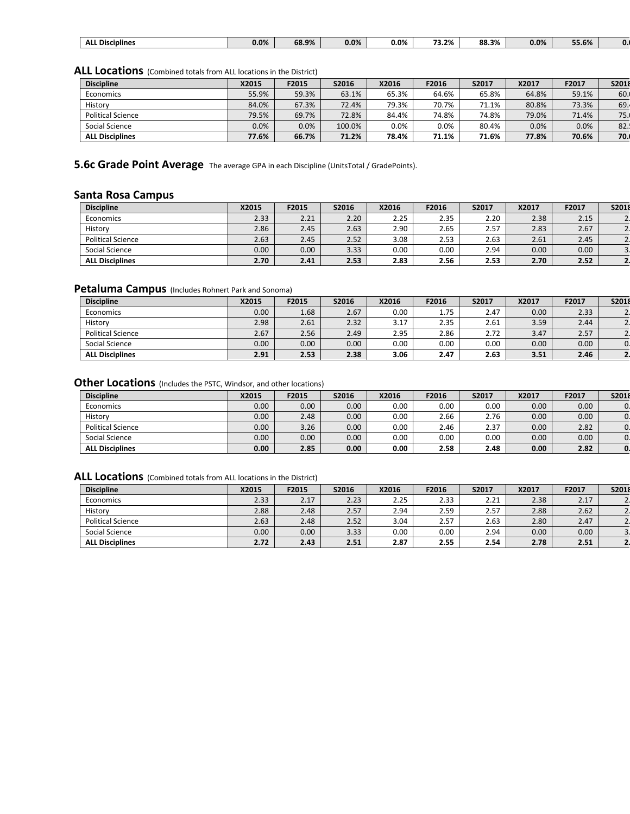|  | $\sim$<br>. .<br>ALI<br><b>Disciplines</b><br>__ | $-$<br>0.0% | 68.9% | $-$<br>0.0% | $0.0\%$<br>. . | $-1$<br>$- -$<br>. 3.2%<br>___ | 00<br>88.3%<br>. | 0.0% | - -<br>55.6% | u. |
|--|--------------------------------------------------|-------------|-------|-------------|----------------|--------------------------------|------------------|------|--------------|----|
|--|--------------------------------------------------|-------------|-------|-------------|----------------|--------------------------------|------------------|------|--------------|----|

ALL Locations (Combined totals from ALL locations in the District)

| <b>Discipline</b>        | X2015 | F2015 | S2016  | X2016   | F2016   | S2017 | X2017 | F2017 | S2018 |
|--------------------------|-------|-------|--------|---------|---------|-------|-------|-------|-------|
| Economics                | 55.9% | 59.3% | 63.1%  | 65.3%   | 64.6%   | 65.8% | 64.8% | 59.1% | 60.   |
| History                  | 84.0% | 67.3% | 72.4%  | 79.3%   | 70.7%   | 71.1% | 80.8% | 73.3% | 69.   |
| <b>Political Science</b> | 79.5% | 69.7% | 72.8%  | 84.4%   | 74.8%   | 74.8% | 79.0% | 71.4% | 75.   |
| Social Science           | 0.0%  | 0.0%  | 100.0% | $0.0\%$ | $0.0\%$ | 80.4% | 0.0%  | 0.0%  | 82.   |
| <b>ALL Disciplines</b>   | 77.6% | 66.7% | 71.2%  | 78.4%   | 71.1%   | 71.6% | 77.8% | 70.6% | 70.   |

**5.6c Grade Point Average** The average GPA in each Discipline (UnitsTotal / GradePoints).

### **Santa Rosa Campus**

| <b>Discipline</b>        | X2015 | F2015 | S2016 | X2016 | F2016 | S2017 | X2017             | F2017 | S2018 |
|--------------------------|-------|-------|-------|-------|-------|-------|-------------------|-------|-------|
| Economics                | 2.33  | 2.21  | 2.20  | 2.25  | 2.35  | 2.20  | 2.38              | 2.15  |       |
| History                  | 2.86  | 2.45  | 2.63  | 2.90  | 2.65  | 2.57  | 2.83              | 2.67  |       |
| <b>Political Science</b> | 2.63  | 2.45  | 2.52  | 3.08  | 2.53  | 2.63  | 2.61              | 2.45  |       |
| Social Science           | 0.00  | 0.00  | 3.33  | 0.00  | 0.00  | 2.94  | 0.00 <sub>1</sub> | 0.00  |       |
| <b>ALL Disciplines</b>   | 2.70  | 2.41  | 2.53  | 2.83  | 2.56  | 2.53  | 2.70              | 2.52  |       |

#### **Petaluma Campus** (Includes Rohnert Park and Sonoma)

| <b>Discipline</b>        | X2015 | F2015 | S2016             | X2016 | F2016 | S2017 | X2017 | F2017 | S2018 |
|--------------------------|-------|-------|-------------------|-------|-------|-------|-------|-------|-------|
| Economics                | 0.00  | 1.68  | 2.67              | 0.00  | 1.75  | 2.47  | 0.00  | 2.33  |       |
| History                  | 2.98  | 2.61  | 2.32              | 3.17  | 2.35  | 2.61  | 3.59  | 2.44  |       |
| <b>Political Science</b> | 2.67  | 2.56  | 2.49              | 2.95  | 2.86  | 2.72  | 3.47  | 2.57  |       |
| Social Science           | 0.00  | 0.00  | 0.00 <sub>1</sub> | 0.00  | 0.00  | 0.00  | 0.00  | 0.00  |       |
| <b>ALL Disciplines</b>   | 2.91  | 2.53  | 2.38              | 3.06  | 2.47  | 2.63  | 3.51  | 2.46  |       |

#### **Other Locations** (Includes the PSTC, Windsor, and other locations)

| <b>Discipline</b>        | X2015 | F2015 | S2016 | X2016 | F2016 | S2017 | X2017             | F2017 | S2018 |
|--------------------------|-------|-------|-------|-------|-------|-------|-------------------|-------|-------|
| Economics                | 0.00  | 0.00  | 0.00  | 0.00  | 0.00  | 0.00  | 0.00 <sub>1</sub> | 0.00  |       |
| History                  | 0.00  | 2.48  | 0.00  | 0.00  | 2.66  | 2.76  | 0.00              | 0.00  |       |
| <b>Political Science</b> | 0.00  | 3.26  | 0.00  | 0.00  | 2.46  | 2.37  | 0.00              | 2.82  |       |
| Social Science           | 0.00  | 0.00  | 0.00  | 0.00  | 0.00  | 0.00  | 0.00              | 0.00  |       |
| <b>ALL Disciplines</b>   | 0.00  | 2.85  | 0.00  | 0.00  | 2.58  | 2.48  | 0.00              | 2.82  | 0.    |

| <b>Discipline</b>        | X2015 | F2015 | S2016 | X2016 | F2016 | S2017 | X2017 | F2017 | S2018 |
|--------------------------|-------|-------|-------|-------|-------|-------|-------|-------|-------|
| Economics                | 2.33  | 2.17  | 2.23  | 2.25  | 2.33  | 2.21  | 2.38  | 2.17  |       |
| History                  | 2.88  | 2.48  | 2.57  | 2.94  | 2.59  | 2.57  | 2.88  | 2.62  |       |
| <b>Political Science</b> | 2.63  | 2.48  | 2.52  | 3.04  | 2.57  | 2.63  | 2.80  | 2.47  |       |
| Social Science           | 0.00  | 0.00  | 3.33  | 0.00  | 0.00  | 2.94  | 0.00  | 0.00  |       |
| <b>ALL Disciplines</b>   | 2.72  | 2.43  | 2.51  | 2.87  | 2.55  | 2.54  | 2.78  | 2.51  |       |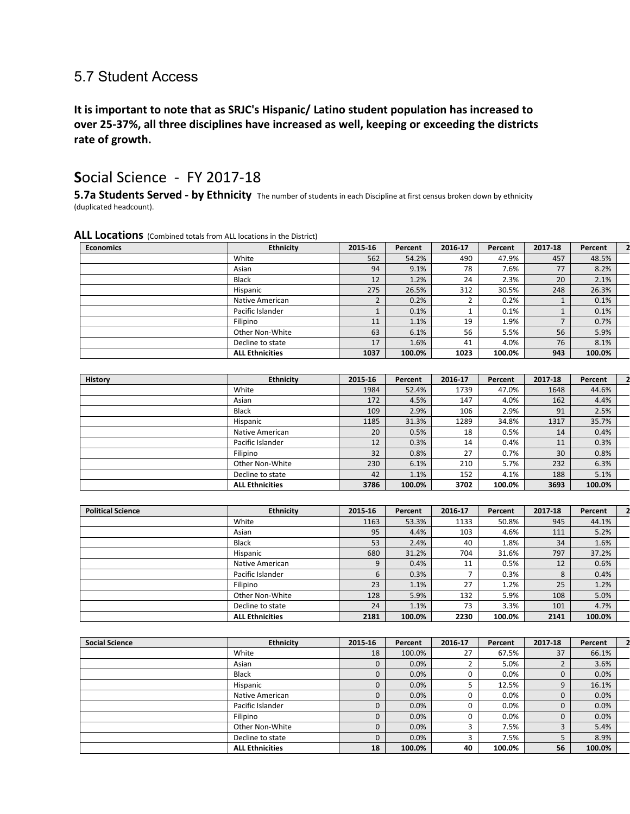### 5.7 Student Access

**It is important to note that as SRJC's Hispanic/ Latino student population has increased to over 25-37%, all three disciplines have increased as well, keeping or exceeding the districts rate of growth.**

### **S**ocial Science - FY 2017-18

**5.7a Students Served - by Ethnicity** The number of students in each Discipline at first census broken down by ethnicity (duplicated headcount).

| <b>Economics</b> | <b>Ethnicity</b>       | 2015-16 | Percent | 2016-17 | Percent | 2017-18 | Percent |  |
|------------------|------------------------|---------|---------|---------|---------|---------|---------|--|
|                  | White                  | 562     | 54.2%   | 490     | 47.9%   | 457     | 48.5%   |  |
|                  | Asian                  | 94      | 9.1%    | 78      | 7.6%    | 77      | 8.2%    |  |
|                  | <b>Black</b>           | 12      | 1.2%    | 24      | 2.3%    | 20      | 2.1%    |  |
|                  | Hispanic               | 275     | 26.5%   | 312     | 30.5%   | 248     | 26.3%   |  |
|                  | Native American        |         | 0.2%    |         | 0.2%    |         | 0.1%    |  |
|                  | Pacific Islander       |         | 0.1%    |         | 0.1%    |         | 0.1%    |  |
|                  | Filipino               | 11      | 1.1%    | 19      | 1.9%    |         | 0.7%    |  |
|                  | Other Non-White        | 63      | 6.1%    | 56      | 5.5%    | 56      | 5.9%    |  |
|                  | Decline to state       | 17      | 1.6%    | 41      | 4.0%    | 76      | 8.1%    |  |
|                  | <b>ALL Ethnicities</b> | 1037    | 100.0%  | 1023    | 100.0%  | 943     | 100.0%  |  |

| History | <b>Ethnicity</b>       | 2015-16 | Percent | 2016-17 | Percent | 2017-18 | Percent |  |
|---------|------------------------|---------|---------|---------|---------|---------|---------|--|
|         | White                  | 1984    | 52.4%   | 1739    | 47.0%   | 1648    | 44.6%   |  |
|         | Asian                  | 172     | 4.5%    | 147     | 4.0%    | 162     | 4.4%    |  |
|         | <b>Black</b>           | 109     | 2.9%    | 106     | 2.9%    | 91      | 2.5%    |  |
|         | Hispanic               | 1185    | 31.3%   | 1289    | 34.8%   | 1317    | 35.7%   |  |
|         | Native American        | 20      | 0.5%    | 18      | 0.5%    | 14      | 0.4%    |  |
|         | Pacific Islander       | 12      | 0.3%    | 14      | 0.4%    | 11      | 0.3%    |  |
|         | Filipino               | 32      | 0.8%    | 27      | 0.7%    | 30      | 0.8%    |  |
|         | Other Non-White        | 230     | 6.1%    | 210     | 5.7%    | 232     | 6.3%    |  |
|         | Decline to state       | 42      | 1.1%    | 152     | 4.1%    | 188     | 5.1%    |  |
|         | <b>ALL Ethnicities</b> | 3786    | 100.0%  | 3702    | 100.0%  | 3693    | 100.0%  |  |

| <b>Political Science</b> | <b>Ethnicity</b>       | 2015-16 | Percent | 2016-17 | Percent | 2017-18 | Percent |  |
|--------------------------|------------------------|---------|---------|---------|---------|---------|---------|--|
|                          | White                  | 1163    | 53.3%   | 1133    | 50.8%   | 945     | 44.1%   |  |
|                          | Asian                  | 95      | 4.4%    | 103     | 4.6%    | 111     | 5.2%    |  |
|                          | <b>Black</b>           | 53      | 2.4%    | 40      | 1.8%    | 34      | 1.6%    |  |
|                          | Hispanic               | 680     | 31.2%   | 704     | 31.6%   | 797     | 37.2%   |  |
|                          | Native American        | 9       | 0.4%    | 11      | 0.5%    | 12      | 0.6%    |  |
|                          | Pacific Islander       | b       | 0.3%    |         | 0.3%    | 8       | 0.4%    |  |
|                          | Filipino               | 23      | 1.1%    | 27      | 1.2%    | 25      | 1.2%    |  |
|                          | Other Non-White        | 128     | 5.9%    | 132     | 5.9%    | 108     | 5.0%    |  |
|                          | Decline to state       | 24      | 1.1%    | 73      | 3.3%    | 101     | 4.7%    |  |
|                          | <b>ALL Ethnicities</b> | 2181    | 100.0%  | 2230    | 100.0%  | 2141    | 100.0%  |  |

| <b>Social Science</b> | <b>Ethnicity</b>       | 2015-16      | Percent | 2016-17 | Percent | 2017-18 | Percent |  |
|-----------------------|------------------------|--------------|---------|---------|---------|---------|---------|--|
|                       | White                  | 18           | 100.0%  | 27      | 67.5%   | 37      | 66.1%   |  |
|                       | Asian                  | 0            | 0.0%    |         | 5.0%    |         | 3.6%    |  |
|                       | <b>Black</b>           | 0            | 0.0%    |         | 0.0%    | 0       | 0.0%    |  |
|                       | Hispanic               | 0            | 0.0%    |         | 12.5%   | 9       | 16.1%   |  |
|                       | Native American        | $\mathbf 0$  | 0.0%    |         | 0.0%    |         | 0.0%    |  |
|                       | Pacific Islander       | 0            | 0.0%    |         | 0.0%    | 0       | 0.0%    |  |
|                       | Filipino               | 0            | 0.0%    |         | 0.0%    | 0       | 0.0%    |  |
|                       | Other Non-White        | $\mathbf{0}$ | 0.0%    |         | 7.5%    | 3       | 5.4%    |  |
|                       | Decline to state       | 0            | 0.0%    |         | 7.5%    |         | 8.9%    |  |
|                       | <b>ALL Ethnicities</b> | 18           | 100.0%  | 40      | 100.0%  | 56      | 100.0%  |  |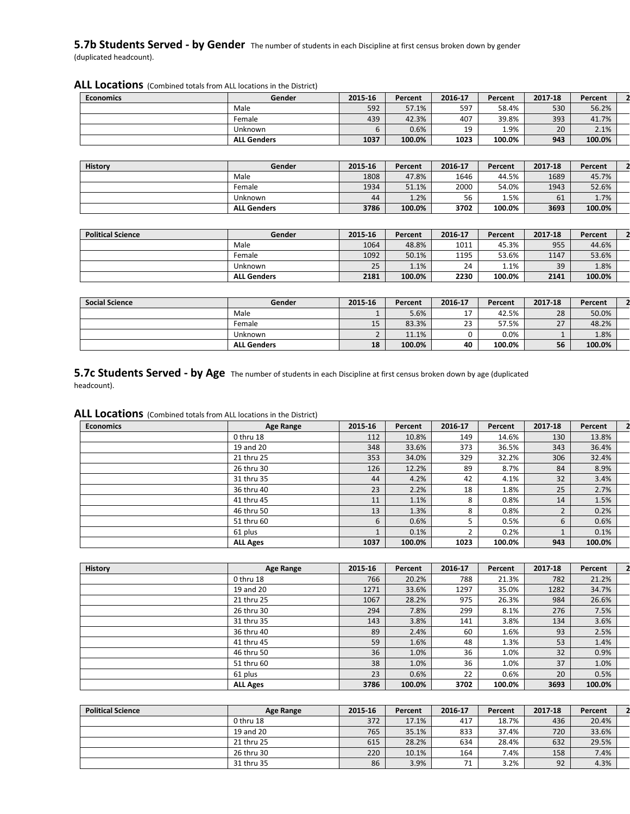#### **5.7b Students Served - by Gender** The number of students in each Discipline at first census broken down by gender (duplicated headcount).

**ALL Locations** (Combined totals from ALL locations in the District) **Economics Gender 2015-16 Percent 2016-17 Percent 2017-18 Percent 2** Male 592 57.1% 597 58.4% 530 56.2%

|  |  |  | <b>ALL Locations</b> (Combined totals from ALL locations in the District) |
|--|--|--|---------------------------------------------------------------------------|
|--|--|--|---------------------------------------------------------------------------|

|         | <b>ALL Genders</b> | 1037    | 100.0%  | 1023    | 100.0%  | 943     | 100.0%  |  |
|---------|--------------------|---------|---------|---------|---------|---------|---------|--|
|         |                    |         |         |         |         |         |         |  |
| History | Gender             | 2015 16 | Percent | 2016-17 | Percent | 2017 18 | Percent |  |
|         | Male               | 1808    | 47.8%   | 1646    | 44.5%   | 1689    | 45.7%   |  |
|         | Female             | 1934    | 51.1%   | 2000    | 54.0%   | 1943    | 52.6%   |  |
|         | Unknown            | 44      | 1.2%    | 56      | 1.5%    | 61      | 1.7%    |  |
|         | <b>ALL Genders</b> | 3786    | 100.0%  | 3702    | 100.0%  | 3693    | 100.0%  |  |

Female 439 42.3% 407 39.8% 393 41.7% Unknown 6 0.6% 19 1.9% 20 2.1%

| <b>Political Science</b> | Gender             | 2015-16 | Percent | 2016-17 | Percent | 2017-18 | Percent |  |
|--------------------------|--------------------|---------|---------|---------|---------|---------|---------|--|
|                          | Male               | 1064    | 48.8%   | 1011    | 45.3%   | 955     | 44.6%   |  |
|                          | Female             | 1092    | 50.1%   | 1195    | 53.6%   | 1147    | 53.6%   |  |
|                          | Unknown            | 25      | 1.1%    | 24      | $1.1\%$ | 39      | 1.8%    |  |
|                          | <b>ALL Genders</b> | 2181    | 100.0%  | 2230    | 100.0%  | 2141    | 100.0%  |  |

| <b>Social Science</b> | Gender             | 2015-16  | Percent | 2016 17            | Percent | 2017-18   | Percent |  |
|-----------------------|--------------------|----------|---------|--------------------|---------|-----------|---------|--|
|                       | Male               |          | 5.6%    | a 1                | 42.5%   | 28        | 50.0%   |  |
|                       | Female             | 15       | 83.3%   | $\mathbf{a}$<br>رے | 57.5%   | 27<br>، ے | 48.2%   |  |
|                       | Unknown            | <u>.</u> | 11.1%   |                    | 0.0%    |           | 1.8%    |  |
|                       | <b>ALL Genders</b> | 18       | 100.0%  | 40                 | 100.0%  | 56        | 100.0%  |  |

**5.7c Students Served - by Age** The number of students in each Discipline at first census broken down by age (duplicated headcount).

| <b>Economics</b> | Age Range       | 2015-16 | Percent | 2016-17 | Percent | 2017-18 | Percent |  |
|------------------|-----------------|---------|---------|---------|---------|---------|---------|--|
|                  | 0 thru 18       | 112     | 10.8%   | 149     | 14.6%   | 130     | 13.8%   |  |
|                  | 19 and 20       | 348     | 33.6%   | 373     | 36.5%   | 343     | 36.4%   |  |
|                  | 21 thru 25      | 353     | 34.0%   | 329     | 32.2%   | 306     | 32.4%   |  |
|                  | 26 thru 30      | 126     | 12.2%   | 89      | 8.7%    | 84      | 8.9%    |  |
|                  | 31 thru 35      | 44      | 4.2%    | 42      | 4.1%    | 32      | 3.4%    |  |
|                  | 36 thru 40      | 23      | 2.2%    | 18      | 1.8%    | 25      | 2.7%    |  |
|                  | 41 thru 45      | 11      | 1.1%    | 8       | 0.8%    | 14      | 1.5%    |  |
|                  | 46 thru 50      | 13      | 1.3%    | 8       | 0.8%    |         | 0.2%    |  |
|                  | 51 thru 60      | 6       | 0.6%    |         | 0.5%    | 6       | 0.6%    |  |
|                  | 61 plus         |         | 0.1%    |         | 0.2%    |         | 0.1%    |  |
|                  | <b>ALL Ages</b> | 1037    | 100.0%  | 1023    | 100.0%  | 943     | 100.0%  |  |

| <b>History</b> | Age Range       | 2015-16 | Percent | 2016-17 | Percent | 2017-18 | Percent |  |
|----------------|-----------------|---------|---------|---------|---------|---------|---------|--|
|                | 0 thru 18       | 766     | 20.2%   | 788     | 21.3%   | 782     | 21.2%   |  |
|                | 19 and 20       | 1271    | 33.6%   | 1297    | 35.0%   | 1282    | 34.7%   |  |
|                | 21 thru 25      | 1067    | 28.2%   | 975     | 26.3%   | 984     | 26.6%   |  |
|                | 26 thru 30      | 294     | 7.8%    | 299     | 8.1%    | 276     | 7.5%    |  |
|                | 31 thru 35      | 143     | 3.8%    | 141     | 3.8%    | 134     | 3.6%    |  |
|                | 36 thru 40      | 89      | 2.4%    | 60      | 1.6%    | 93      | 2.5%    |  |
|                | 41 thru 45      | 59      | 1.6%    | 48      | 1.3%    | 53      | 1.4%    |  |
|                | 46 thru 50      | 36      | 1.0%    | 36      | 1.0%    | 32      | 0.9%    |  |
|                | 51 thru 60      | 38      | 1.0%    | 36      | 1.0%    | 37      | 1.0%    |  |
|                | 61 plus         | 23      | 0.6%    | 22      | 0.6%    | 20      | 0.5%    |  |
|                | <b>ALL Ages</b> | 3786    | 100.0%  | 3702    | 100.0%  | 3693    | 100.0%  |  |

| <b>Political Science</b> | Age Range  | 2015 16 | Percent | 2016-17 | Percent | 2017-18 | Percent |  |
|--------------------------|------------|---------|---------|---------|---------|---------|---------|--|
|                          | 0 thru 18  | 372     | 17.1%   | 417     | 18.7%   | 436     | 20.4%   |  |
|                          | 19 and 20  | 765     | 35.1%   | 833     | 37.4%   | 720     | 33.6%   |  |
|                          | 21 thru 25 | 615     | 28.2%   | 634     | 28.4%   | 632     | 29.5%   |  |
|                          | 26 thru 30 | 220     | 10.1%   | 164     | 7.4%    | 158     | 7.4%    |  |
|                          | 31 thru 35 | 86      | 3.9%    | 74      | 3.2%    | 92      | 4.3%    |  |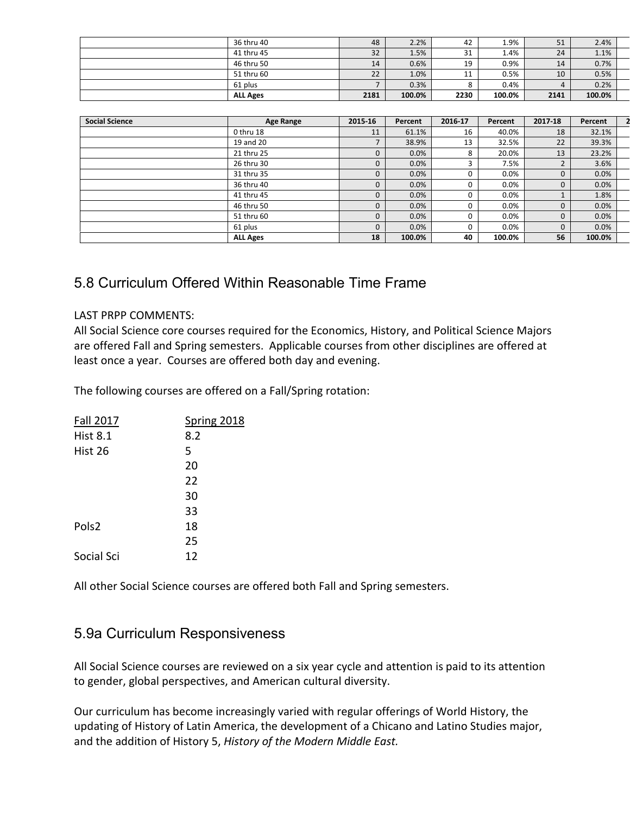| <b>ALL Ages</b> | 2181 | 100.0% | 2230 | 100.0% | 2141 | 100.0% |  |
|-----------------|------|--------|------|--------|------|--------|--|
| 61 plus         |      | 0.3%   |      | 0.4%   |      | 0.2%   |  |
| 51 thru 60      | 22   | 1.0%   | 11   | 0.5%   | 10   | 0.5%   |  |
| 46 thru 50      | 14   | 0.6%   | 19   | 0.9%   | 14   | 0.7%   |  |
| 41 thru 45      | 32   | 1.5%   | 31   | 1.4%   | 24   | 1.1%   |  |
| 36 thru 40      | 48   | 2.2%   | 42   | 1.9%   | 51   | 2.4%   |  |

| <b>Social Science</b> | <b>Age Range</b> | 2015-16      | Percent | 2016-17  | Percent | 2017-18      | Percent |  |
|-----------------------|------------------|--------------|---------|----------|---------|--------------|---------|--|
|                       | 0 thru 18        | 11           | 61.1%   | 16       | 40.0%   | 18           | 32.1%   |  |
|                       | 19 and 20        |              | 38.9%   | 13       | 32.5%   | 22           | 39.3%   |  |
|                       | 21 thru 25       | 0            | 0.0%    | 8        | 20.0%   | 13           | 23.2%   |  |
|                       | 26 thru 30       | 0            | 0.0%    | 3        | 7.5%    |              | 3.6%    |  |
|                       | 31 thru 35       | 0            | 0.0%    | 0        | 0.0%    | $\mathbf{0}$ | 0.0%    |  |
|                       | 36 thru 40       | 0            | 0.0%    | 0        | 0.0%    | $\mathbf{0}$ | 0.0%    |  |
|                       | 41 thru 45       | 0            | 0.0%    | 0        | 0.0%    |              | 1.8%    |  |
|                       | 46 thru 50       | $\mathbf{0}$ | 0.0%    | $\Omega$ | 0.0%    | $\mathbf{0}$ | 0.0%    |  |
|                       | 51 thru 60       | $\mathbf 0$  | 0.0%    | 0        | $0.0\%$ | $\mathbf{0}$ | 0.0%    |  |
|                       | 61 plus          | $\Omega$     | 0.0%    | $\Omega$ | $0.0\%$ | $\Omega$     | 0.0%    |  |
|                       | <b>ALL Ages</b>  | 18           | 100.0%  | 40       | 100.0%  | 56           | 100.0%  |  |

### 5.8 Curriculum Offered Within Reasonable Time Frame

### LAST PRPP COMMENTS:

All Social Science core courses required for the Economics, History, and Political Science Majors are offered Fall and Spring semesters. Applicable courses from other disciplines are offered at least once a year. Courses are offered both day and evening.

The following courses are offered on a Fall/Spring rotation:

| <b>Fall 2017</b>  | <b>Spring 2018</b> |
|-------------------|--------------------|
| <b>Hist 8.1</b>   | 8.2                |
| Hist 26           | 5                  |
|                   | 20                 |
|                   | 22                 |
|                   | 30                 |
|                   | 33                 |
| Pols <sub>2</sub> | 18                 |
|                   | 25                 |
| Social Sci        | 12                 |
|                   |                    |

All other Social Science courses are offered both Fall and Spring semesters.

### 5.9a Curriculum Responsiveness

All Social Science courses are reviewed on a six year cycle and attention is paid to its attention to gender, global perspectives, and American cultural diversity.

Our curriculum has become increasingly varied with regular offerings of World History, the updating of History of Latin America, the development of a Chicano and Latino Studies major, and the addition of History 5, *History of the Modern Middle East.*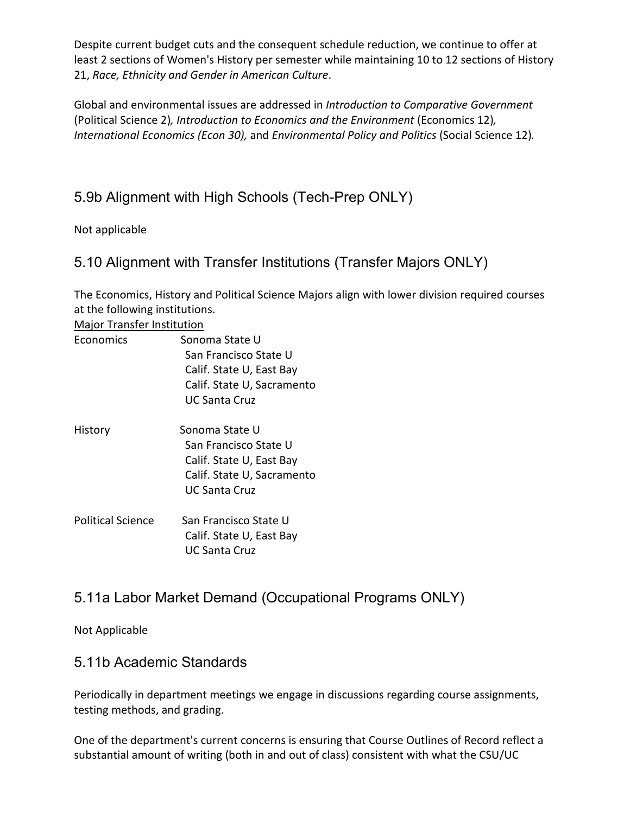Despite current budget cuts and the consequent schedule reduction, we continue to offer at least 2 sections of Women's History per semester while maintaining 10 to 12 sections of History 21, *Race, Ethnicity and Gender in American Culture*.

Global and environmental issues are addressed in *Introduction to Comparative Government*  (Political Science 2)*, Introduction to Economics and the Environment* (Economics 12)*, International Economics (Econ 30),* and *Environmental Policy and Politics* (Social Science 12)*.*

## 5.9b Alignment with High Schools (Tech-Prep ONLY)

Not applicable

### 5.10 Alignment with Transfer Institutions (Transfer Majors ONLY)

The Economics, History and Political Science Majors align with lower division required courses at the following institutions.

Major Transfer Institution

| Economics                | Sonoma State U             |  |
|--------------------------|----------------------------|--|
|                          | San Francisco State U      |  |
|                          | Calif. State U, East Bay   |  |
|                          | Calif. State U, Sacramento |  |
|                          | <b>UC Santa Cruz</b>       |  |
| History                  | Sonoma State U             |  |
|                          | San Francisco State U      |  |
|                          | Calif. State U, East Bay   |  |
|                          | Calif. State U, Sacramento |  |
|                          | UC Santa Cruz              |  |
| <b>Political Science</b> | San Francisco State U      |  |
|                          | Calif. State U, East Bay   |  |
|                          | UC Santa Cruz              |  |

## 5.11a Labor Market Demand (Occupational Programs ONLY)

Not Applicable

### 5.11b Academic Standards

Periodically in department meetings we engage in discussions regarding course assignments, testing methods, and grading.

One of the department's current concerns is ensuring that Course Outlines of Record reflect a substantial amount of writing (both in and out of class) consistent with what the CSU/UC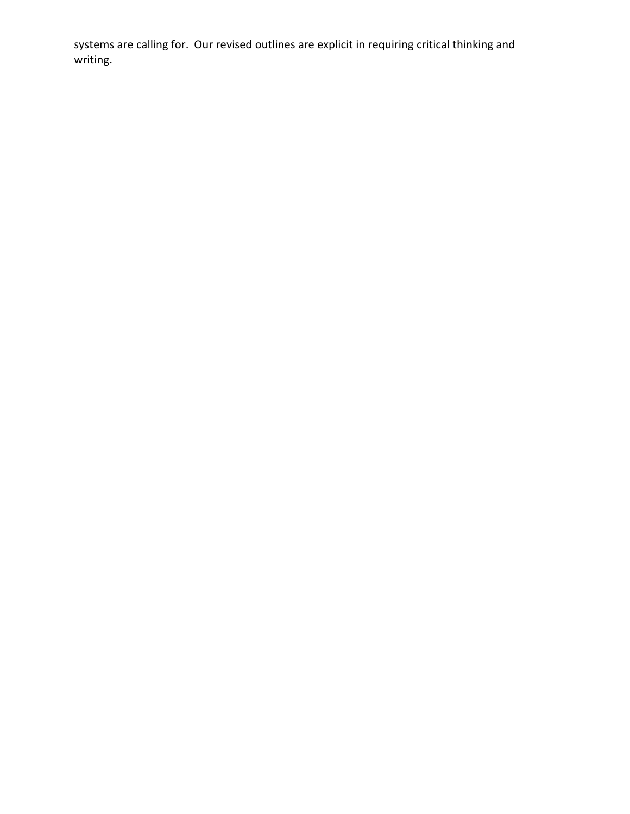systems are calling for. Our revised outlines are explicit in requiring critical thinking and writing.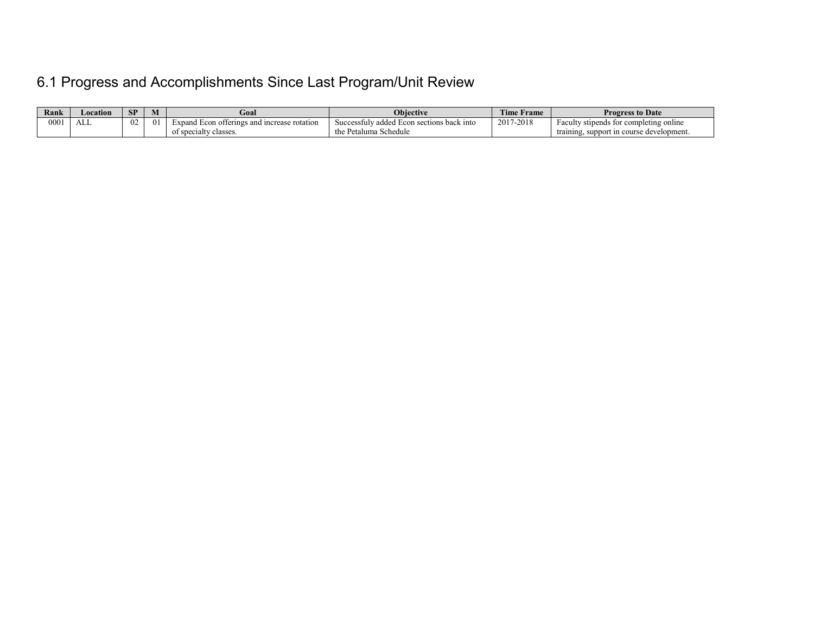# 6.1 Progress and Accomplishments Since Last Program/Unit Review

| Rank | ocation | SP | IVI      | Goal                                        | <b>Objective</b>                              | $T = 1$<br>l'ime Frame | <b>Progress to Date</b>                       |
|------|---------|----|----------|---------------------------------------------|-----------------------------------------------|------------------------|-----------------------------------------------|
| 0001 | ALL     | 02 | $\theta$ | Expand Econ offerings and increase rotation | Successfuly added Econ sections back into     | 2017-2018              | Faculty stipends for completing online        |
|      |         |    |          | of specialty classes.                       | $D_{\alpha}$<br>i Schedule<br>'etaluma<br>սււ |                        | . support in course development.<br>training. |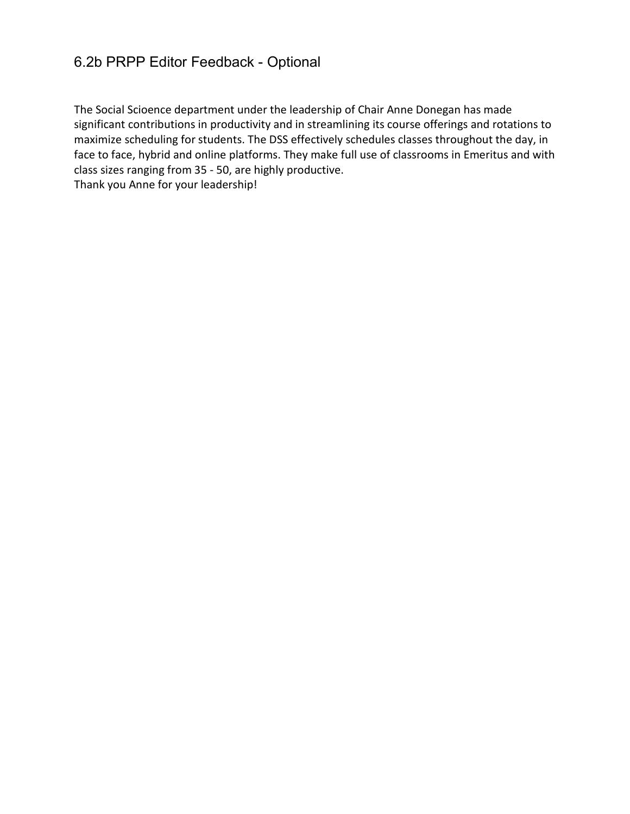### 6.2b PRPP Editor Feedback - Optional

The Social Scioence department under the leadership of Chair Anne Donegan has made significant contributions in productivity and in streamlining its course offerings and rotations to maximize scheduling for students. The DSS effectively schedules classes throughout the day, in face to face, hybrid and online platforms. They make full use of classrooms in Emeritus and with class sizes ranging from 35 - 50, are highly productive. Thank you Anne for your leadership!